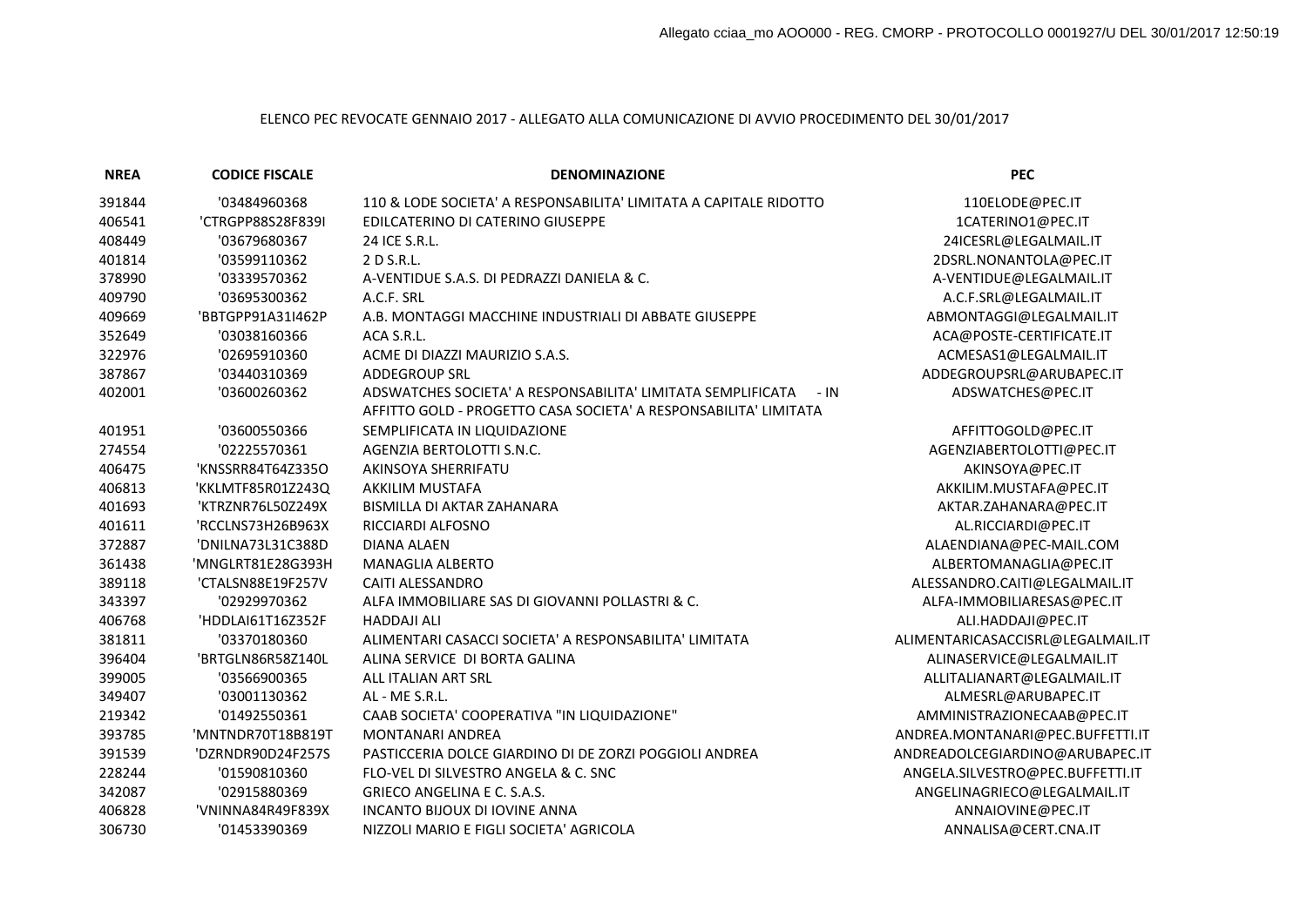## ELENCO PEC REVOCATE GENNAIO 2017 - ALLEGATO ALLA COMUNICAZIONE DI AVVIO PROCEDIMENTO DEL 30/01/2017

| <b>NREA</b> | <b>CODICE FISCALE</b> | <b>DENOMINAZIONE</b>                                                                                                                      | <b>PEC</b>                        |
|-------------|-----------------------|-------------------------------------------------------------------------------------------------------------------------------------------|-----------------------------------|
| 391844      | '03484960368          | 110 & LODE SOCIETA' A RESPONSABILITA' LIMITATA A CAPITALE RIDOTTO                                                                         | 110ELODE@PEC.IT                   |
| 406541      | 'CTRGPP88S28F839I     | EDILCATERINO DI CATERINO GIUSEPPE                                                                                                         | 1CATERINO1@PEC.IT                 |
| 408449      | '03679680367          | 24 ICE S.R.L.                                                                                                                             | 24ICESRL@LEGALMAIL.IT             |
| 401814      | '03599110362          | 2 D S.R.L.                                                                                                                                | 2DSRL.NONANTOLA@PEC.IT            |
| 378990      | '03339570362          | A-VENTIDUE S.A.S. DI PEDRAZZI DANIELA & C.                                                                                                | A-VENTIDUE@LEGALMAIL.IT           |
| 409790      | '03695300362          | A.C.F. SRL                                                                                                                                | A.C.F.SRL@LEGALMAIL.IT            |
| 409669      | 'BBTGPP91A31I462P     | A.B. MONTAGGI MACCHINE INDUSTRIALI DI ABBATE GIUSEPPE                                                                                     | ABMONTAGGI@LEGALMAIL.IT           |
| 352649      | '03038160366          | ACA S.R.L.                                                                                                                                | ACA@POSTE-CERTIFICATE.IT          |
| 322976      | '02695910360          | ACME DI DIAZZI MAURIZIO S.A.S.                                                                                                            | ACMESAS1@LEGALMAIL.IT             |
| 387867      | '03440310369          | <b>ADDEGROUP SRL</b>                                                                                                                      | ADDEGROUPSRL@ARUBAPEC.IT          |
| 402001      | '03600260362          | $- IN$<br>ADSWATCHES SOCIETA' A RESPONSABILITA' LIMITATA SEMPLIFICATA<br>AFFITTO GOLD - PROGETTO CASA SOCIETA' A RESPONSABILITA' LIMITATA | ADSWATCHES@PEC.IT                 |
| 401951      | '03600550366          | SEMPLIFICATA IN LIQUIDAZIONE                                                                                                              | AFFITTOGOLD@PEC.IT                |
| 274554      | '02225570361          | AGENZIA BERTOLOTTI S.N.C.                                                                                                                 | AGENZIABERTOLOTTI@PEC.IT          |
| 406475      | 'KNSSRR84T64Z335O     | AKINSOYA SHERRIFATU                                                                                                                       | AKINSOYA@PEC.IT                   |
| 406813      | 'KKLMTF85R01Z243Q     | <b>AKKILIM MUSTAFA</b>                                                                                                                    | AKKILIM.MUSTAFA@PEC.IT            |
| 401693      | 'KTRZNR76L50Z249X     | BISMILLA DI AKTAR ZAHANARA                                                                                                                | AKTAR.ZAHANARA@PEC.IT             |
| 401611      | 'RCCLNS73H26B963X     | RICCIARDI ALFOSNO                                                                                                                         | AL.RICCIARDI@PEC.IT               |
| 372887      | 'DNILNA73L31C388D     | <b>DIANA ALAEN</b>                                                                                                                        | ALAENDIANA@PEC-MAIL.COM           |
| 361438      | 'MNGLRT81E28G393H     | <b>MANAGLIA ALBERTO</b>                                                                                                                   | ALBERTOMANAGLIA@PEC.IT            |
| 389118      | 'CTALSN88E19F257V     | <b>CAITI ALESSANDRO</b>                                                                                                                   | ALESSANDRO.CAITI@LEGALMAIL.IT     |
| 343397      | '02929970362          | ALFA IMMOBILIARE SAS DI GIOVANNI POLLASTRI & C.                                                                                           | ALFA-IMMOBILIARESAS@PEC.IT        |
| 406768      | 'HDDLAI61T16Z352F     | <b>HADDAJI ALI</b>                                                                                                                        | ALI.HADDAJI@PEC.IT                |
| 381811      | '03370180360          | ALIMENTARI CASACCI SOCIETA' A RESPONSABILITA' LIMITATA                                                                                    | ALIMENTARICASACCISRL@LEGALMAIL.IT |
| 396404      | 'BRTGLN86R58Z140L     | ALINA SERVICE DI BORTA GALINA                                                                                                             | ALINASERVICE@LEGALMAIL.IT         |
| 399005      | '03566900365          | ALL ITALIAN ART SRL                                                                                                                       | ALLITALIANART@LEGALMAIL.IT        |
| 349407      | '03001130362          | AL - ME S.R.L.                                                                                                                            | ALMESRL@ARUBAPEC.IT               |
| 219342      | '01492550361          | CAAB SOCIETA' COOPERATIVA "IN LIQUIDAZIONE"                                                                                               | AMMINISTRAZIONECAAB@PEC.IT        |
| 393785      | 'MNTNDR70T18B819T     | <b>MONTANARI ANDREA</b>                                                                                                                   | ANDREA.MONTANARI@PEC.BUFFETTI.IT  |
| 391539      | 'DZRNDR90D24F257S     | PASTICCERIA DOLCE GIARDINO DI DE ZORZI POGGIOLI ANDREA                                                                                    | ANDREADOLCEGIARDINO@ARUBAPEC.IT   |
| 228244      | '01590810360          | FLO-VEL DI SILVESTRO ANGELA & C. SNC                                                                                                      | ANGELA.SILVESTRO@PEC.BUFFETTI.IT  |
| 342087      | '02915880369          | <b>GRIECO ANGELINA E C. S.A.S.</b>                                                                                                        | ANGELINAGRIECO@LEGALMAIL.IT       |
| 406828      | 'VNINNA84R49F839X     | <b>INCANTO BIJOUX DI IOVINE ANNA</b>                                                                                                      | ANNAIOVINE@PEC.IT                 |
| 306730      | '01453390369          | NIZZOLI MARIO E FIGLI SOCIETA' AGRICOLA                                                                                                   | ANNALISA@CERT.CNA.IT              |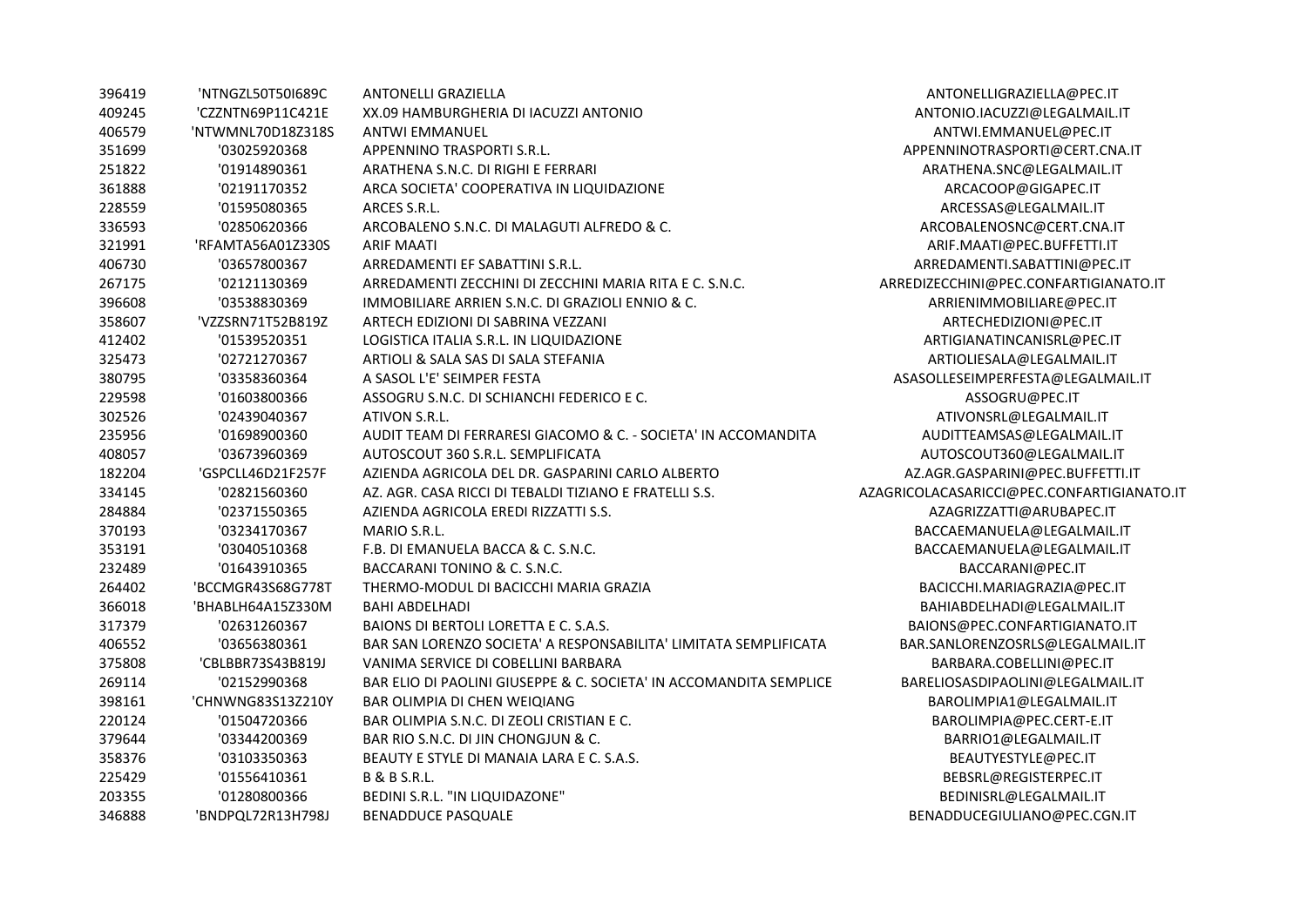| 396419 | 'NTNGZL50T50I689C | <b>ANTONELLI GRAZIELLA</b>                                         | ANTONELLIGRAZIELLA@PEC.IT                  |
|--------|-------------------|--------------------------------------------------------------------|--------------------------------------------|
| 409245 | 'CZZNTN69P11C421E | XX.09 HAMBURGHERIA DI IACUZZI ANTONIO                              | ANTONIO.IACUZZI@LEGALMAIL.IT               |
| 406579 | 'NTWMNL70D18Z318S | <b>ANTWI EMMANUEL</b>                                              | ANTWI.EMMANUEL@PEC.IT                      |
| 351699 | '03025920368      | APPENNINO TRASPORTI S.R.L.                                         | APPENNINOTRASPORTI@CERT.CNA.IT             |
| 251822 | '01914890361      | ARATHENA S.N.C. DI RIGHI E FERRARI                                 | ARATHENA.SNC@LEGALMAIL.IT                  |
| 361888 | '02191170352      | ARCA SOCIETA' COOPERATIVA IN LIQUIDAZIONE                          | ARCACOOP@GIGAPEC.IT                        |
| 228559 | '01595080365      | ARCES S.R.L.                                                       | ARCESSAS@LEGALMAIL.IT                      |
| 336593 | '02850620366      | ARCOBALENO S.N.C. DI MALAGUTI ALFREDO & C.                         | ARCOBALENOSNC@CERT.CNA.IT                  |
| 321991 | 'RFAMTA56A01Z330S | <b>ARIF MAATI</b>                                                  | ARIF.MAATI@PEC.BUFFETTI.IT                 |
| 406730 | '03657800367      | ARREDAMENTI EF SABATTINI S.R.L.                                    | ARREDAMENTI.SABATTINI@PEC.IT               |
| 267175 | '02121130369      | ARREDAMENTI ZECCHINI DI ZECCHINI MARIA RITA E C. S.N.C.            | ARREDIZECCHINI@PEC.CONFARTIGIANATO.IT      |
| 396608 | '03538830369      | IMMOBILIARE ARRIEN S.N.C. DI GRAZIOLI ENNIO & C.                   | ARRIENIMMOBILIARE@PEC.IT                   |
| 358607 | 'VZZSRN71T52B819Z | ARTECH EDIZIONI DI SABRINA VEZZANI                                 | ARTECHEDIZIONI@PEC.IT                      |
| 412402 | '01539520351      | LOGISTICA ITALIA S.R.L. IN LIQUIDAZIONE                            | ARTIGIANATINCANISRL@PEC.IT                 |
| 325473 | '02721270367      | ARTIOLI & SALA SAS DI SALA STEFANIA                                | ARTIOLIESALA@LEGALMAIL.IT                  |
| 380795 | '03358360364      | A SASOL L'E' SEIMPER FESTA                                         | ASASOLLESEIMPERFESTA@LEGALMAIL.IT          |
| 229598 | '01603800366      | ASSOGRU S.N.C. DI SCHIANCHI FEDERICO E C.                          | ASSOGRU@PEC.IT                             |
| 302526 | '02439040367      | ATIVON S.R.L.                                                      | ATIVONSRL@LEGALMAIL.IT                     |
| 235956 | '01698900360      | AUDIT TEAM DI FERRARESI GIACOMO & C. - SOCIETA' IN ACCOMANDITA     | AUDITTEAMSAS@LEGALMAIL.IT                  |
| 408057 | '03673960369      | AUTOSCOUT 360 S.R.L. SEMPLIFICATA                                  | AUTOSCOUT360@LEGALMAIL.IT                  |
| 182204 | 'GSPCLL46D21F257F | AZIENDA AGRICOLA DEL DR. GASPARINI CARLO ALBERTO                   | AZ.AGR.GASPARINI@PEC.BUFFETTI.IT           |
| 334145 | '02821560360      | AZ. AGR. CASA RICCI DI TEBALDI TIZIANO E FRATELLI S.S.             | AZAGRICOLACASARICCI@PEC.CONFARTIGIANATO.IT |
| 284884 | '02371550365      | AZIENDA AGRICOLA EREDI RIZZATTI S.S.                               | AZAGRIZZATTI@ARUBAPEC.IT                   |
| 370193 | '03234170367      | MARIO S.R.L.                                                       | BACCAEMANUELA@LEGALMAIL.IT                 |
| 353191 | '03040510368      | F.B. DI EMANUELA BACCA & C. S.N.C.                                 | BACCAEMANUELA@LEGALMAIL.IT                 |
| 232489 | '01643910365      | BACCARANI TONINO & C. S.N.C.                                       | BACCARANI@PEC.IT                           |
| 264402 | 'BCCMGR43S68G778T | THERMO-MODUL DI BACICCHI MARIA GRAZIA                              | BACICCHI.MARIAGRAZIA@PEC.IT                |
| 366018 | 'BHABLH64A15Z330M | <b>BAHI ABDELHADI</b>                                              | BAHIABDELHADI@LEGALMAIL.IT                 |
| 317379 | '02631260367      | BAIONS DI BERTOLI LORETTA E C. S.A.S.                              | BAIONS@PEC.CONFARTIGIANATO.IT              |
| 406552 | '03656380361      | BAR SAN LORENZO SOCIETA' A RESPONSABILITA' LIMITATA SEMPLIFICATA   | BAR.SANLORENZOSRLS@LEGALMAIL.IT            |
| 375808 | 'CBLBBR73S43B819J | VANIMA SERVICE DI COBELLINI BARBARA                                | BARBARA.COBELLINI@PEC.IT                   |
| 269114 | '02152990368      | BAR ELIO DI PAOLINI GIUSEPPE & C. SOCIETA' IN ACCOMANDITA SEMPLICE | BARELIOSASDIPAOLINI@LEGALMAIL.IT           |
| 398161 | 'CHNWNG83S13Z210Y | BAR OLIMPIA DI CHEN WEIQIANG                                       | BAROLIMPIA1@LEGALMAIL.IT                   |
| 220124 | '01504720366      | BAR OLIMPIA S.N.C. DI ZEOLI CRISTIAN E C.                          | BAROLIMPIA@PEC.CERT-E.IT                   |
| 379644 | '03344200369      | BAR RIO S.N.C. DI JIN CHONGJUN & C.                                | BARRIO1@LEGALMAIL.IT                       |
| 358376 | '03103350363      | BEAUTY E STYLE DI MANAIA LARA E C. S.A.S.                          | BEAUTYESTYLE@PEC.IT                        |
| 225429 | '01556410361      | <b>B &amp; B S.R.L.</b>                                            | BEBSRL@REGISTERPEC.IT                      |
| 203355 | '01280800366      | BEDINI S.R.L. "IN LIQUIDAZONE"                                     | BEDINISRL@LEGALMAIL.IT                     |
| 346888 | 'BNDPQL72R13H798J | <b>BENADDUCE PASQUALE</b>                                          | BENADDUCEGIULIANO@PEC.CGN.IT               |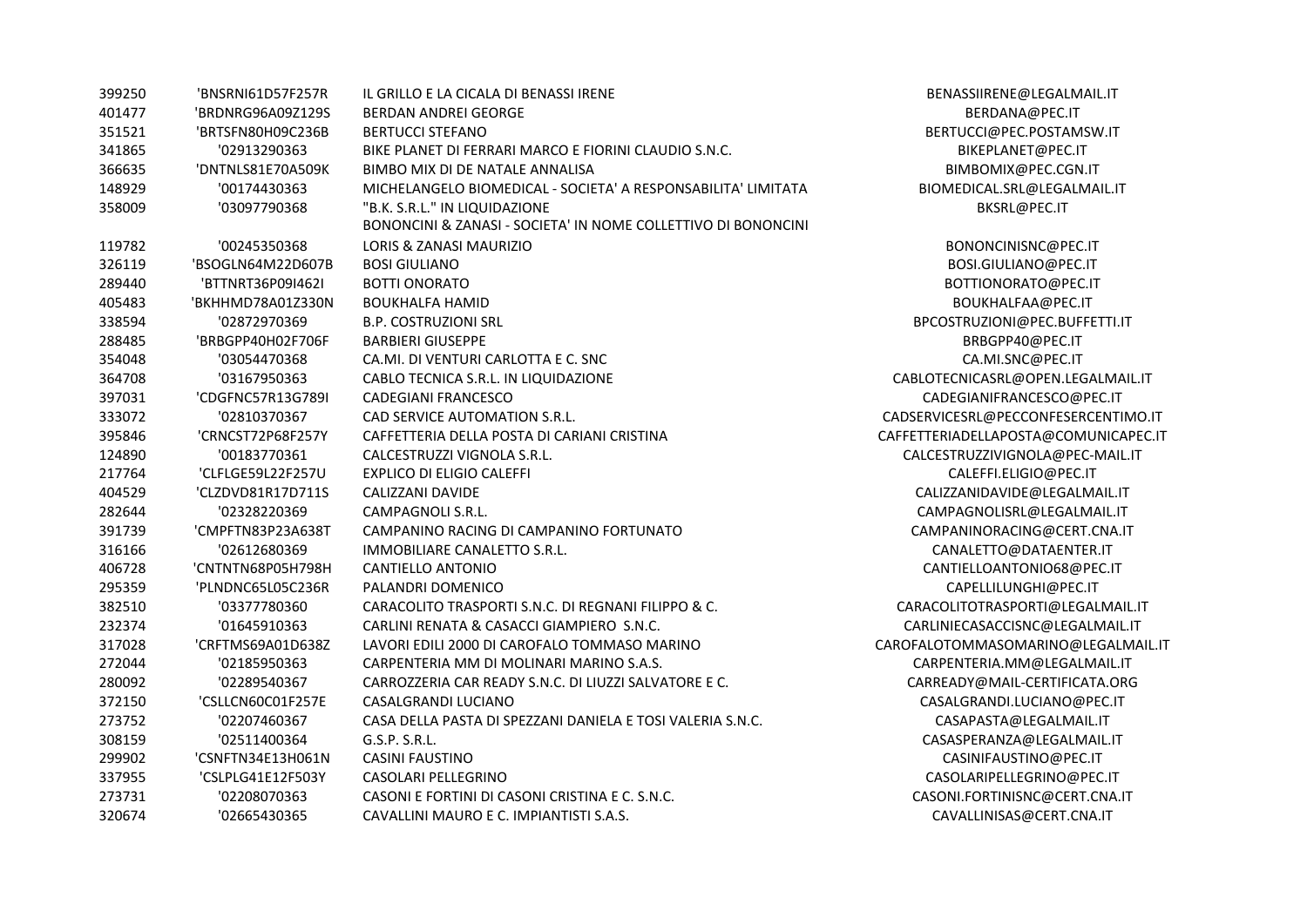| 399250 | 'BNSRNI61D57F257R | IL GRILLO E LA CICALA DI BENASSI IRENE                        | BENASSIIRENE@LEGALMAIL.IT            |
|--------|-------------------|---------------------------------------------------------------|--------------------------------------|
| 401477 | 'BRDNRG96A09Z129S | <b>BERDAN ANDREI GEORGE</b>                                   | BERDANA@PEC.IT                       |
| 351521 | 'BRTSFN80H09C236B | <b>BERTUCCI STEFANO</b>                                       | BERTUCCI@PEC.POSTAMSW.IT             |
| 341865 | '02913290363      | BIKE PLANET DI FERRARI MARCO E FIORINI CLAUDIO S.N.C.         | BIKEPLANET@PEC.IT                    |
| 366635 | 'DNTNLS81E70A509K | BIMBO MIX DI DE NATALE ANNALISA                               | BIMBOMIX@PEC.CGN.IT                  |
| 148929 | '00174430363      | MICHELANGELO BIOMEDICAL - SOCIETA' A RESPONSABILITA' LIMITATA | BIOMEDICAL.SRL@LEGALMAIL.IT          |
| 358009 | '03097790368      | "B.K. S.R.L." IN LIQUIDAZIONE                                 | BKSRL@PEC.IT                         |
|        |                   | BONONCINI & ZANASI - SOCIETA' IN NOME COLLETTIVO DI BONONCINI |                                      |
| 119782 | '00245350368      | LORIS & ZANASI MAURIZIO                                       | BONONCINISNC@PEC.IT                  |
| 326119 | 'BSOGLN64M22D607B | <b>BOSI GIULIANO</b>                                          | BOSI.GIULIANO@PEC.IT                 |
| 289440 | 'BTTNRT36P09I462I | <b>BOTTI ONORATO</b>                                          | BOTTIONORATO@PEC.IT                  |
| 405483 | 'BKHHMD78A01Z330N | <b>BOUKHALFA HAMID</b>                                        | BOUKHALFAA@PEC.IT                    |
| 338594 | '02872970369      | <b>B.P. COSTRUZIONI SRL</b>                                   | BPCOSTRUZIONI@PEC.BUFFETTI.IT        |
| 288485 | 'BRBGPP40H02F706F | <b>BARBIERI GIUSEPPE</b>                                      | BRBGPP40@PEC.IT                      |
| 354048 | '03054470368      | CA.MI. DI VENTURI CARLOTTA E C. SNC                           | CA.MI.SNC@PEC.IT                     |
| 364708 | '03167950363      | CABLO TECNICA S.R.L. IN LIQUIDAZIONE                          | CABLOTECNICASRL@OPEN.LEGALMAIL.IT    |
| 397031 | 'CDGFNC57R13G789I | <b>CADEGIANI FRANCESCO</b>                                    | CADEGIANIFRANCESCO@PEC.IT            |
| 333072 | '02810370367      | CAD SERVICE AUTOMATION S.R.L.                                 | CADSERVICESRL@PECCONFESERCENTIMO.IT  |
| 395846 | 'CRNCST72P68F257Y | CAFFETTERIA DELLA POSTA DI CARIANI CRISTINA                   | CAFFETTERIADELLAPOSTA@COMUNICAPEC.IT |
| 124890 | '00183770361      | CALCESTRUZZI VIGNOLA S.R.L.                                   | CALCESTRUZZIVIGNOLA@PEC-MAIL.IT      |
| 217764 | 'CLFLGE59L22F257U | <b>EXPLICO DI ELIGIO CALEFFI</b>                              | CALEFFI.ELIGIO@PEC.IT                |
| 404529 | 'CLZDVD81R17D711S | CALIZZANI DAVIDE                                              | CALIZZANIDAVIDE@LEGALMAIL.IT         |
| 282644 | '02328220369      | CAMPAGNOLI S.R.L.                                             | CAMPAGNOLISRL@LEGALMAIL.IT           |
| 391739 | 'CMPFTN83P23A638T | CAMPANINO RACING DI CAMPANINO FORTUNATO                       | CAMPANINORACING@CERT.CNA.IT          |
| 316166 | '02612680369      | IMMOBILIARE CANALETTO S.R.L.                                  | CANALETTO@DATAENTER.IT               |
| 406728 | 'CNTNTN68P05H798H | <b>CANTIELLO ANTONIO</b>                                      | CANTIELLOANTONIO68@PEC.IT            |
| 295359 | 'PLNDNC65L05C236R | PALANDRI DOMENICO                                             | CAPELLILUNGHI@PEC.IT                 |
| 382510 | '03377780360      | CARACOLITO TRASPORTI S.N.C. DI REGNANI FILIPPO & C.           | CARACOLITOTRASPORTI@LEGALMAIL.IT     |
| 232374 | '01645910363      | CARLINI RENATA & CASACCI GIAMPIERO S.N.C.                     | CARLINIECASACCISNC@LEGALMAIL.IT      |
| 317028 | 'CRFTMS69A01D638Z | LAVORI EDILI 2000 DI CAROFALO TOMMASO MARINO                  | CAROFALOTOMMASOMARINO@LEGALMAIL.IT   |
| 272044 | '02185950363      | CARPENTERIA MM DI MOLINARI MARINO S.A.S.                      | CARPENTERIA.MM@LEGALMAIL.IT          |
| 280092 | '02289540367      | CARROZZERIA CAR READY S.N.C. DI LIUZZI SALVATORE E C.         | CARREADY@MAIL-CERTIFICATA.ORG        |
| 372150 | 'CSLLCN60C01F257E | CASALGRANDI LUCIANO                                           | CASALGRANDI.LUCIANO@PEC.IT           |
| 273752 | '02207460367      | CASA DELLA PASTA DI SPEZZANI DANIELA E TOSI VALERIA S.N.C.    | CASAPASTA@LEGALMAIL.IT               |
| 308159 | '02511400364      | G.S.P. S.R.L.                                                 | CASASPERANZA@LEGALMAIL.IT            |
| 299902 | 'CSNFTN34E13H061N | <b>CASINI FAUSTINO</b>                                        | CASINIFAUSTINO@PEC.IT                |
| 337955 | 'CSLPLG41E12F503Y | CASOLARI PELLEGRINO                                           | CASOLARIPELLEGRINO@PEC.IT            |
| 273731 | '02208070363      | CASONI E FORTINI DI CASONI CRISTINA E C. S.N.C.               | CASONI.FORTINISNC@CERT.CNA.IT        |
| 320674 | '02665430365      | CAVALLINI MAURO E C. IMPIANTISTI S.A.S.                       | CAVALLINISAS@CERT.CNA.IT             |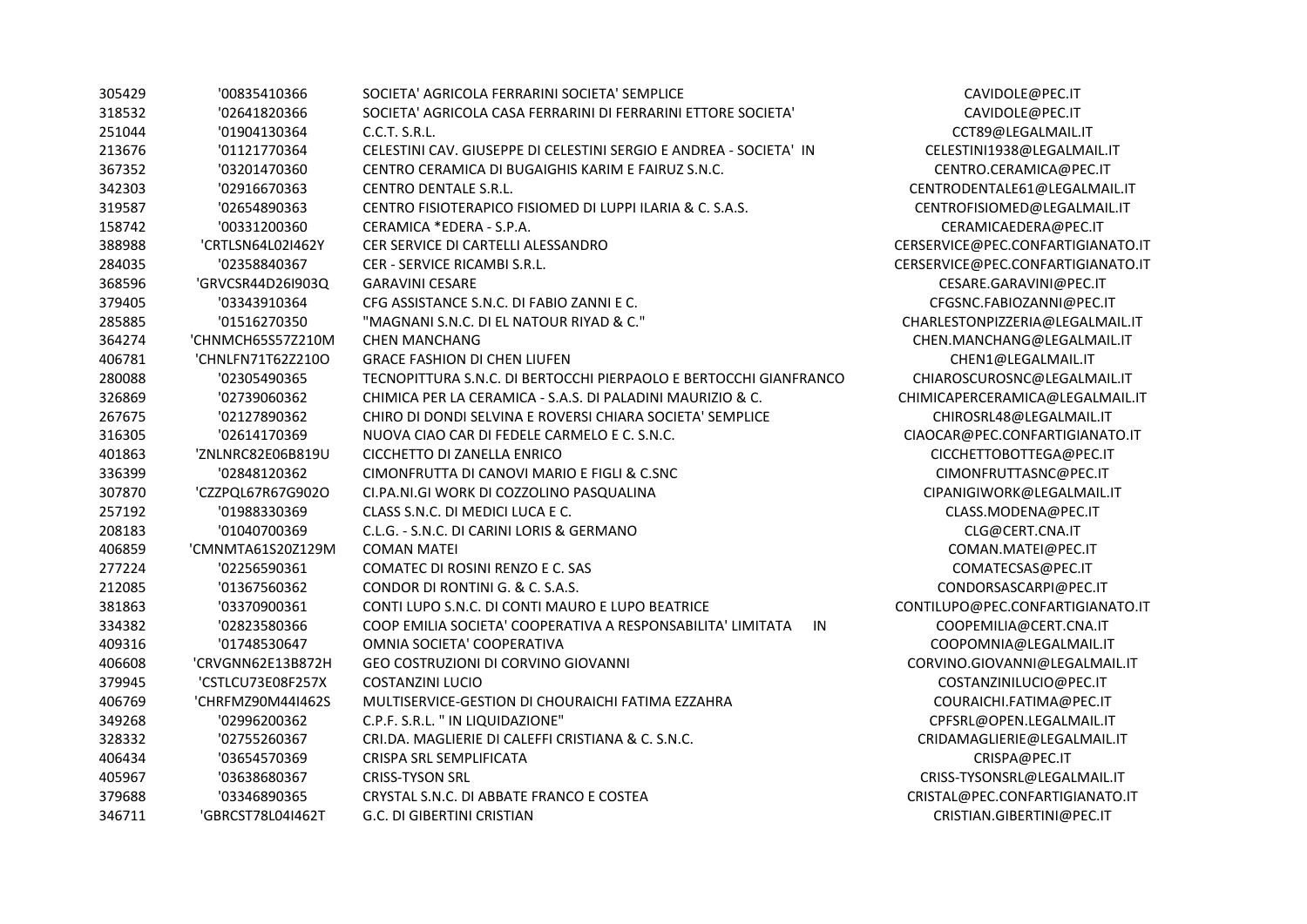| 305429 | '00835410366      | SOCIETA' AGRICOLA FERRARINI SOCIETA' SEMPLICE                      | CAVIDOLE@PEC.IT          |
|--------|-------------------|--------------------------------------------------------------------|--------------------------|
| 318532 | '02641820366      | SOCIETA' AGRICOLA CASA FERRARINI DI FERRARINI ETTORE SOCIETA'      | CAVIDOLE@PEC.IT          |
| 251044 | '01904130364      | C.C.T. S.R.L.                                                      | CCT89@LEGALMAIL.         |
| 213676 | '01121770364      | CELESTINI CAV. GIUSEPPE DI CELESTINI SERGIO E ANDREA - SOCIETA' IN | CELESTINI1938@LEGALN     |
| 367352 | '03201470360      | CENTRO CERAMICA DI BUGAIGHIS KARIM E FAIRUZ S.N.C.                 | CENTRO.CERAMICA@P        |
| 342303 | '02916670363      | <b>CENTRO DENTALE S.R.L.</b>                                       | CENTRODENTALE61@LEGA     |
| 319587 | '02654890363      | CENTRO FISIOTERAPICO FISIOMED DI LUPPI ILARIA & C. S.A.S.          | CENTROFISIOMED@LEGAL     |
| 158742 | '00331200360      | CERAMICA *EDERA - S.P.A.                                           | CERAMICAEDERA@PE         |
| 388988 | 'CRTLSN64L02I462Y | CER SERVICE DI CARTELLI ALESSANDRO                                 | CERSERVICE@PEC.CONFARTIO |
| 284035 | '02358840367      | CER - SERVICE RICAMBI S.R.L.                                       | CERSERVICE@PEC.CONFARTIO |
| 368596 | 'GRVCSR44D26I903Q | <b>GARAVINI CESARE</b>                                             | CESARE.GARAVINI@PE       |
| 379405 | '03343910364      | CFG ASSISTANCE S.N.C. DI FABIO ZANNI E C.                          | CFGSNC.FABIOZANNI@I      |
| 285885 | '01516270350      | "MAGNANI S.N.C. DI EL NATOUR RIYAD & C."                           | CHARLESTONPIZZERIA@LEG   |
| 364274 | 'CHNMCH65S57Z210M | <b>CHEN MANCHANG</b>                                               | CHEN.MANCHANG@LEGAI      |
| 406781 | 'CHNLFN71T62Z210O | <b>GRACE FASHION DI CHEN LIUFEN</b>                                | CHEN1@LEGALMAIL          |
| 280088 | '02305490365      | TECNOPITTURA S.N.C. DI BERTOCCHI PIERPAOLO E BERTOCCHI GIANFRANCO  | CHIAROSCUROSNC@LEGA      |
| 326869 | '02739060362      | CHIMICA PER LA CERAMICA - S.A.S. DI PALADINI MAURIZIO & C.         | CHIMICAPERCERAMICA@LEG   |
| 267675 | '02127890362      | CHIRO DI DONDI SELVINA E ROVERSI CHIARA SOCIETA' SEMPLICE          | CHIROSRL48@LEGALM/       |
| 316305 | '02614170369      | NUOVA CIAO CAR DI FEDELE CARMELO E C. S.N.C.                       | CIAOCAR@PEC.CONFARTIGI   |
| 401863 | 'ZNLNRC82E06B819U | CICCHETTO DI ZANELLA ENRICO                                        | CICCHETTOBOTTEGA@F       |
| 336399 | '02848120362      | CIMONFRUTTA DI CANOVI MARIO E FIGLI & C.SNC                        | CIMONFRUTTASNC@P         |
| 307870 | 'CZZPQL67R67G902O | CI.PA.NI.GI WORK DI COZZOLINO PASQUALINA                           | CIPANIGIWORK@LEGALN      |
| 257192 | '01988330369      | CLASS S.N.C. DI MEDICI LUCA E C.                                   | CLASS.MODENA@PEO         |
| 208183 | '01040700369      | C.L.G. - S.N.C. DI CARINI LORIS & GERMANO                          | CLG@CERT.CNA.IT          |
| 406859 | 'CMNMTA61S20Z129M | <b>COMAN MATEI</b>                                                 | COMAN.MATEI@PEC          |
| 277224 | '02256590361      | COMATEC DI ROSINI RENZO E C. SAS                                   | COMATECSAS@PEC.          |
| 212085 | '01367560362      | CONDOR DI RONTINI G. & C. S.A.S.                                   | CONDORSASCARPI@PI        |
| 381863 | '03370900361      | CONTI LUPO S.N.C. DI CONTI MAURO E LUPO BEATRICE                   | CONTILUPO@PEC.CONFARTIO  |
| 334382 | '02823580366      | COOP EMILIA SOCIETA' COOPERATIVA A RESPONSABILITA' LIMITATA<br>IN  | COOPEMILIA@CERT.CN       |
| 409316 | '01748530647      | OMNIA SOCIETA' COOPERATIVA                                         | COOPOMNIA@LEGALM         |
| 406608 | 'CRVGNN62E13B872H | GEO COSTRUZIONI DI CORVINO GIOVANNI                                | CORVINO.GIOVANNI@LEGA    |
| 379945 | 'CSTLCU73E08F257X | <b>COSTANZINI LUCIO</b>                                            | COSTANZINILUCIO@PI       |
| 406769 | 'CHRFMZ90M44I462S | MULTISERVICE-GESTION DI CHOURAICHI FATIMA EZZAHRA                  | COURAICHI.FATIMA@P       |
| 349268 | '02996200362      | C.P.F. S.R.L. " IN LIQUIDAZIONE"                                   | CPFSRL@OPEN.LEGALM       |
| 328332 | '02755260367      | CRI.DA. MAGLIERIE DI CALEFFI CRISTIANA & C. S.N.C.                 | CRIDAMAGLIERIE@LEGAL     |
| 406434 | '03654570369      | CRISPA SRL SEMPLIFICATA                                            | CRISPA@PEC.IT            |
| 405967 | '03638680367      | <b>CRISS-TYSON SRL</b>                                             | CRISS-TYSONSRL@LEGALI    |
| 379688 | '03346890365      | CRYSTAL S.N.C. DI ABBATE FRANCO E COSTEA                           | CRISTAL@PEC.CONFARTIGI/  |
| 346711 | 'GBRCST78L04I462T | G.C. DI GIBERTINI CRISTIAN                                         | CRISTIAN.GIBERTINI@P     |
|        |                   |                                                                    |                          |

CCT89@LEGALMAIL.IT CELESTINI1938@LEGALMAIL.IT CENTRO.CERAMICA@PEC.IT CENTRODENTALE61@LEGALMAIL.IT CENTROFISIOMED@LEGALMAIL.IT  $CERAMICAEDERA@PEC.IT$ CERSERVICE@PEC.CONFARTIGIANATO.IT CERSERVICE@PEC.CONFARTIGIANATO.IT 368596 'GRVCSR44D26I903Q GARAVINI CESARE CESARE.GARAVINI@PEC.IT CFGSNC.FABIOZANNI@PEC.IT CHARLESTONPIZZERIA@LEGALMAIL.IT  $CHEN. MANCHANG@LEGALMAIL.IT$ CHEN1@LEGALMAIL.IT CHIAROSCUROSNC@LEGALMAIL.IT CHIMICAPERCERAMICA@LEGALMAIL.IT CHIROSRL48@LEGALMAIL.IT  $CIAOCAR @ PEC. CONFARTIGIANATO.IT$ CICCHETTOBOTTEGA@PEC.IT CIMONFRUTTASNC@PEC.IT CIPANIGIWORK@LEGALMAIL.IT CLASS.MODENA@PEC.IT 406859 'CMNMTA61S20Z129M COMAN MATEI COMAN.MATEI@PEC.IT COMATECSAS@PEC.IT CONDORSASCARPI@PEC.IT CONTILUPO@PEC.CONFARTIGIANATO.IT COOPEMILIA@CERT.CNA.IT 409316 '01748530647 OMNIA SOCIETA' COOPERATIVA COOPOMNIA@LEGALMAIL.IT CORVINO.GIOVANNI@LEGALMAIL.IT 379945 'CSTLCU73E08F257X COSTANZINI LUCIO COSTANZINILUCIO@PEC.IT COURAICHI.FATIMA@PEC.IT  $CPFSRL@OPEN.LEGALMAIL.IT$ CRIDAMAGLIERIE@LEGALMAIL.IT 405967 '03638680367 CRISS-TYSON SRL CRISS-TYSONSRL@LEGALMAIL.IT CRISTAL@PEC.CONFARTIGIANATO.IT  $CRISTIAN.GIBERTINI@PEC. IT$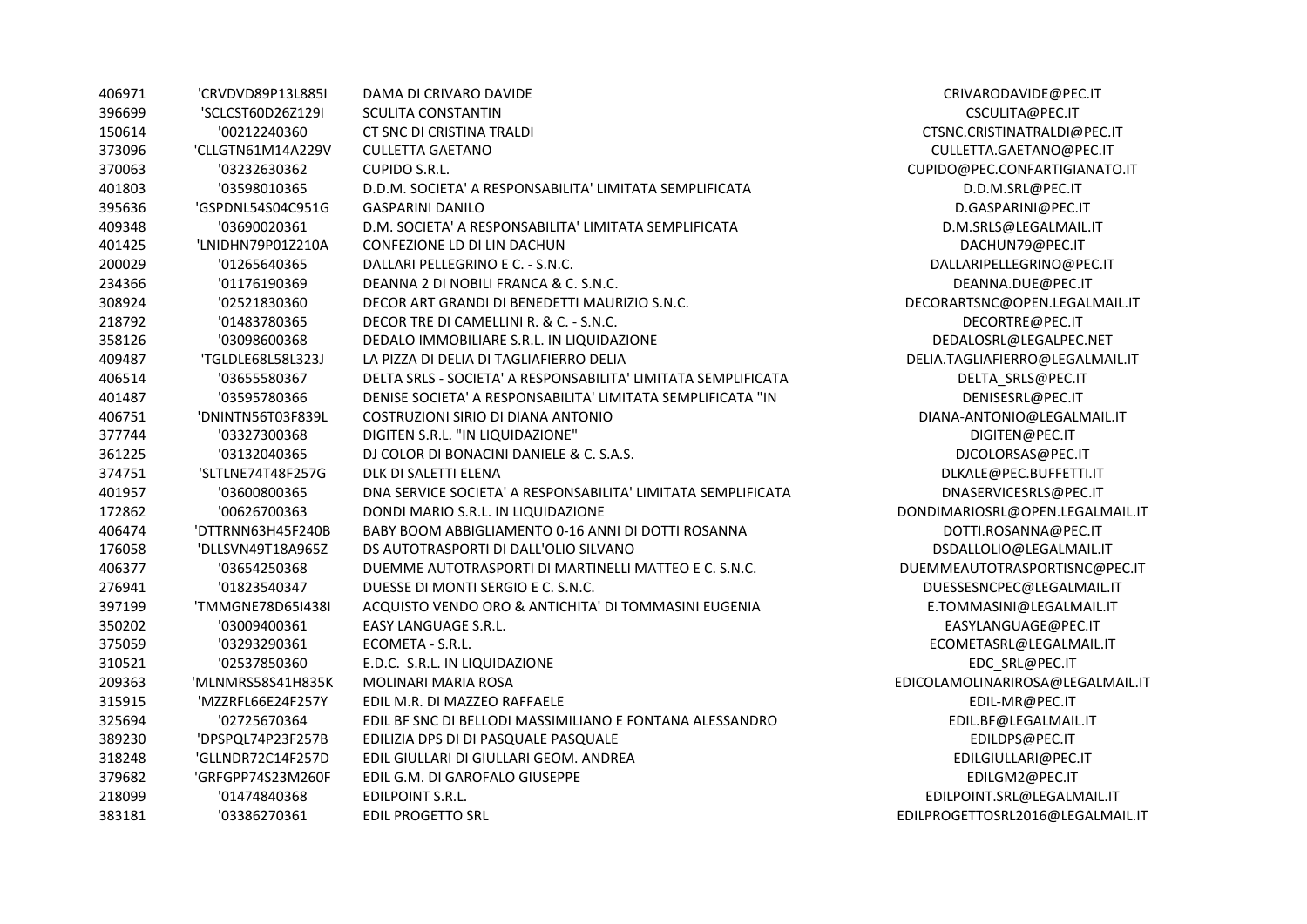| 406971 | 'CRVDVD89P13L885I | DAMA DI CRIVARO DAVIDE                                        | CRIVARODAVIDE@PE       |
|--------|-------------------|---------------------------------------------------------------|------------------------|
| 396699 | 'SCLCST60D26Z129I | <b>SCULITA CONSTANTIN</b>                                     | CSCULITA@PEC.IT        |
| 150614 | '00212240360      | CT SNC DI CRISTINA TRALDI                                     | CTSNC.CRISTINATRALDI@  |
| 373096 | 'CLLGTN61M14A229V | <b>CULLETTA GAETANO</b>                                       | CULLETTA.GAETANO@I     |
| 370063 | '03232630362      | CUPIDO S.R.L.                                                 | CUPIDO@PEC.CONFARTIGI. |
| 401803 | '03598010365      | D.D.M. SOCIETA' A RESPONSABILITA' LIMITATA SEMPLIFICATA       | D.D.M.SRL@PEC.IT       |
| 395636 | 'GSPDNL54S04C951G | <b>GASPARINI DANILO</b>                                       | D.GASPARINI@PEC.       |
| 409348 | '03690020361      | D.M. SOCIETA' A RESPONSABILITA' LIMITATA SEMPLIFICATA         | D.M.SRLS@LEGALMA       |
| 401425 | 'LNIDHN79P01Z210A | CONFEZIONE LD DI LIN DACHUN                                   | DACHUN79@PEC.I         |
| 200029 | '01265640365      | DALLARI PELLEGRINO E C. - S.N.C.                              | DALLARIPELLEGRINO@I    |
| 234366 | '01176190369      | DEANNA 2 DI NOBILI FRANCA & C. S.N.C.                         | DEANNA.DUE@PEC         |
| 308924 | '02521830360      | DECOR ART GRANDI DI BENEDETTI MAURIZIO S.N.C.                 | DECORARTSNC@OPEN.LEG.  |
| 218792 | '01483780365      | DECOR TRE DI CAMELLINI R. & C. - S.N.C.                       | DECORTRE@PEC.IT        |
| 358126 | '03098600368      | DEDALO IMMOBILIARE S.R.L. IN LIQUIDAZIONE                     | DEDALOSRL@LEGALPE      |
| 409487 | 'TGLDLE68L58L323J | LA PIZZA DI DELIA DI TAGLIAFIERRO DELIA                       | DELIA.TAGLIAFIERRO@LEG |
| 406514 | '03655580367      | DELTA SRLS - SOCIETA' A RESPONSABILITA' LIMITATA SEMPLIFICATA | DELTA_SRLS@PEC.        |
| 401487 | '03595780366      | DENISE SOCIETA' A RESPONSABILITA' LIMITATA SEMPLIFICATA "IN   | DENISESRL@PEC.IT       |
| 406751 | 'DNINTN56T03F839L | COSTRUZIONI SIRIO DI DIANA ANTONIO                            | DIANA-ANTONIO@LEGAL    |
| 377744 | '03327300368      | DIGITEN S.R.L. "IN LIQUIDAZIONE"                              | DIGITEN@PEC.IT         |
| 361225 | '03132040365      | DJ COLOR DI BONACINI DANIELE & C. S.A.S.                      | DJCOLORSAS@PEC.        |
| 374751 | 'SLTLNE74T48F257G | DLK DI SALETTI ELENA                                          | DLKALE@PEC.BUFFET      |
| 401957 | '03600800365      | DNA SERVICE SOCIETA' A RESPONSABILITA' LIMITATA SEMPLIFICATA  | DNASERVICESRLS@PE      |
| 172862 | '00626700363      | DONDI MARIO S.R.L. IN LIQUIDAZIONE                            | DONDIMARIOSRL@OPEN.LE  |
| 406474 | 'DTTRNN63H45F240B | BABY BOOM ABBIGLIAMENTO 0-16 ANNI DI DOTTI ROSANNA            | DOTTI.ROSANNA@PE       |
| 176058 | 'DLLSVN49T18A965Z | DS AUTOTRASPORTI DI DALL'OLIO SILVANO                         | DSDALLOLIO@LEGALM      |
| 406377 | '03654250368      | DUEMME AUTOTRASPORTI DI MARTINELLI MATTEO E C. S.N.C.         | DUEMMEAUTOTRASPORTISI  |
| 276941 | '01823540347      | DUESSE DI MONTI SERGIO E C. S.N.C.                            | DUESSESNCPEC@LEGALI    |
| 397199 | 'TMMGNE78D65I438I | ACQUISTO VENDO ORO & ANTICHITA' DI TOMMASINI EUGENIA          | E.TOMMASINI@LEGALN     |
| 350202 | '03009400361      | <b>EASY LANGUAGE S.R.L.</b>                                   | EASYLANGUAGE@PE        |
| 375059 | '03293290361      | ECOMETA - S.R.L.                                              | ECOMETASRL@LEGALM      |
| 310521 | '02537850360      | E.D.C. S.R.L. IN LIQUIDAZIONE                                 | EDC SRL@PEC.IT         |
| 209363 | 'MLNMRS58S41H835K | MOLINARI MARIA ROSA                                           | EDICOLAMOLINARIROSA@LE |
| 315915 | 'MZZRFL66E24F257Y | EDIL M.R. DI MAZZEO RAFFAELE                                  | EDIL-MR@PEC.IT         |
| 325694 | '02725670364      | EDIL BF SNC DI BELLODI MASSIMILIANO E FONTANA ALESSANDRO      | EDIL.BF@LEGALMAII      |
| 389230 | 'DPSPQL74P23F257B | EDILIZIA DPS DI DI PASQUALE PASQUALE                          | EDILDPS@PEC.IT         |
| 318248 | 'GLLNDR72C14F257D | EDIL GIULLARI DI GIULLARI GEOM. ANDREA                        | EDILGIULLARI@PEC       |
| 379682 | 'GRFGPP74S23M260F | EDIL G.M. DI GAROFALO GIUSEPPE                                | EDILGM2@PEC.IT         |
| 218099 | '01474840368      | EDILPOINT S.R.L.                                              | EDILPOINT.SRL@LEGALN   |
| 383181 | '03386270361      | <b>EDIL PROGETTO SRL</b>                                      | EDILPROGETTOSRL2016@LE |

CRIVARODAVIDE@PEC.IT CTSNC.CRISTINATRALDI@PEC.IT 373096 'CLLGTN61M14A229V CULLETTA GAETANO CULLETTA.GAETANO@PEC.IT 370063 '03232630362 CUPIDO S.R.L. CUPIDO@PEC.CONFARTIGIANATO.IT D.D.M.SRL@PEC.IT D.GASPARINI@PEC.IT D.M. SRLS@LEGALMAIL.IT DACHUN79@PEC.IT DALLARIPELLEGRINO@PEC.IT DEANNA.DUE@PEC.IT ECORARTSNC@OPEN.LEGALMAIL.IT DECORTRE@PEC.IT DEDALOSRL@LEGALPEC.NET  $\overline{\text{PEL}}$ IA.TAGLIAFIERRO@LEGALMAIL.IT DELTA SRLS@PEC.IT DENISESRL@PEC.IT DIANA-ANTONIO@LEGALMAIL.IT DJCOLORSAS@PEC.IT DLKALE@PEC.BUFFETTI.IT DNASERVICESRLS@PEC.IT  $DNDIMARIOSRL@OPEN. LEGALMAIL. ITI$ DOTTI.ROSANNA@PEC.IT DSDALLOLIO@LEGALMAIL.IT JEMME AUTOTRASPORTISNC@PEC.IT DUESSESNCPEC@LEGALMAIL.IT E.TOMMASINI@LEGALMAIL.IT EASYLANGUAGE@PEC.IT ECOMETASRL@LEGALMAIL.IT ICOLAMOLINARIROSA@LEGALMAIL.IT EDIL.BF@LEGALMAIL.IT EDILGIULLARI@PEC.IT EDILGM2@PEC.IT EDILPOINT.SRL@LEGALMAIL.IT ILPROGETTOSRL2016@LEGALMAIL.IT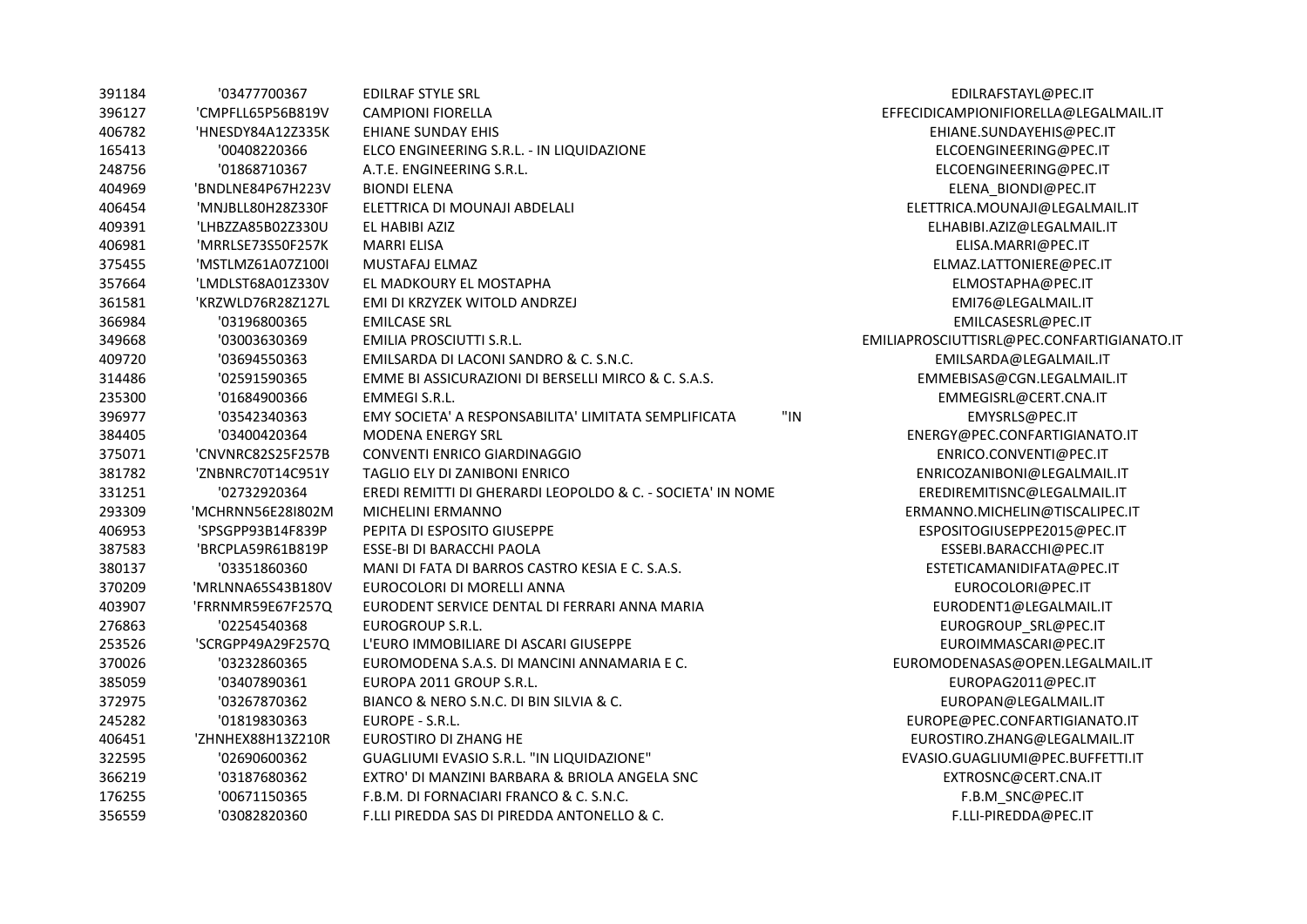| 391184 | '03477700367      | <b>EDILRAF STYLE SRL</b>                                    | EDILRAFSTAYL@PEC.IT                        |
|--------|-------------------|-------------------------------------------------------------|--------------------------------------------|
| 396127 | 'CMPFLL65P56B819V | <b>CAMPIONI FIORELLA</b>                                    | EFFECIDICAMPIONIFIORELLA@LEGALMAIL.IT      |
| 406782 | 'HNESDY84A12Z335K | EHIANE SUNDAY EHIS                                          | EHIANE.SUNDAYEHIS@PEC.IT                   |
| 165413 | '00408220366      | ELCO ENGINEERING S.R.L. - IN LIQUIDAZIONE                   | ELCOENGINEERING@PEC.IT                     |
| 248756 | '01868710367      | A.T.E. ENGINEERING S.R.L.                                   | ELCOENGINEERING@PEC.IT                     |
| 404969 | 'BNDLNE84P67H223V | <b>BIONDI ELENA</b>                                         | ELENA BIONDI@PEC.IT                        |
| 406454 | 'MNJBLL80H28Z330F | ELETTRICA DI MOUNAJI ABDELALI                               | ELETTRICA.MOUNAJI@LEGALMAIL.IT             |
| 409391 | 'LHBZZA85B02Z330U | EL HABIBI AZIZ                                              | ELHABIBI.AZIZ@LEGALMAIL.IT                 |
| 406981 | 'MRRLSE73S50F257K | <b>MARRI ELISA</b>                                          | ELISA.MARRI@PEC.IT                         |
| 375455 | 'MSTLMZ61A07Z100I | MUSTAFAJ ELMAZ                                              | ELMAZ.LATTONIERE@PEC.IT                    |
| 357664 | 'LMDLST68A01Z330V | EL MADKOURY EL MOSTAPHA                                     | ELMOSTAPHA@PEC.IT                          |
| 361581 | 'KRZWLD76R28Z127L | EMI DI KRZYZEK WITOLD ANDRZEJ                               | EMI76@LEGALMAIL.IT                         |
| 366984 | '03196800365      | <b>EMILCASE SRL</b>                                         | EMILCASESRL@PEC.IT                         |
| 349668 | '03003630369      | EMILIA PROSCIUTTI S.R.L.                                    | EMILIAPROSCIUTTISRL@PEC.CONFARTIGIANATO.IT |
| 409720 | '03694550363      | EMILSARDA DI LACONI SANDRO & C. S.N.C.                      | EMILSARDA@LEGALMAIL.IT                     |
| 314486 | '02591590365      | EMME BI ASSICURAZIONI DI BERSELLI MIRCO & C. S.A.S.         | EMMEBISAS@CGN.LEGALMAIL.IT                 |
| 235300 | '01684900366      | <b>EMMEGI S.R.L.</b>                                        | EMMEGISRL@CERT.CNA.IT                      |
| 396977 | '03542340363      | "IN<br>EMY SOCIETA' A RESPONSABILITA' LIMITATA SEMPLIFICATA | EMYSRLS@PEC.IT                             |
| 384405 | '03400420364      | <b>MODENA ENERGY SRL</b>                                    | ENERGY@PEC.CONFARTIGIANATO.IT              |
| 375071 | 'CNVNRC82S25F257B | CONVENTI ENRICO GIARDINAGGIO                                | ENRICO.CONVENTI@PEC.IT                     |
| 381782 | 'ZNBNRC70T14C951Y | TAGLIO ELY DI ZANIBONI ENRICO                               | ENRICOZANIBONI@LEGALMAIL.IT                |
| 331251 | '02732920364      | EREDI REMITTI DI GHERARDI LEOPOLDO & C. - SOCIETA' IN NOME  | EREDIREMITISNC@LEGALMAIL.IT                |
| 293309 | 'MCHRNN56E28I802M | MICHELINI ERMANNO                                           | ERMANNO.MICHELIN@TISCALIPEC.IT             |
| 406953 | 'SPSGPP93B14F839P | PEPITA DI ESPOSITO GIUSEPPE                                 | ESPOSITOGIUSEPPE2015@PEC.IT                |
| 387583 | 'BRCPLA59R61B819P | ESSE-BI DI BARACCHI PAOLA                                   | ESSEBI.BARACCHI@PEC.IT                     |
| 380137 | '03351860360      | MANI DI FATA DI BARROS CASTRO KESIA E C. S.A.S.             | ESTETICAMANIDIFATA@PEC.IT                  |
| 370209 | 'MRLNNA65S43B180V | EUROCOLORI DI MORELLI ANNA                                  | EUROCOLORI@PEC.IT                          |
| 403907 | 'FRRNMR59E67F257Q | EURODENT SERVICE DENTAL DI FERRARI ANNA MARIA               | EURODENT1@LEGALMAIL.IT                     |
| 276863 | '02254540368      | EUROGROUP S.R.L.                                            | EUROGROUP_SRL@PEC.IT                       |
| 253526 | 'SCRGPP49A29F257Q | L'EURO IMMOBILIARE DI ASCARI GIUSEPPE                       | EUROIMMASCARI@PEC.IT                       |
| 370026 | '03232860365      | EUROMODENA S.A.S. DI MANCINI ANNAMARIA E C.                 | EUROMODENASAS@OPEN.LEGALMAIL.IT            |
| 385059 | '03407890361      | EUROPA 2011 GROUP S.R.L.                                    | EUROPAG2011@PEC.IT                         |
| 372975 | '03267870362      | BIANCO & NERO S.N.C. DI BIN SILVIA & C.                     | EUROPAN@LEGALMAIL.IT                       |
| 245282 | '01819830363      | EUROPE - S.R.L.                                             | EUROPE@PEC.CONFARTIGIANATO.IT              |
| 406451 | 'ZHNHEX88H13Z210R | EUROSTIRO DI ZHANG HE                                       | EUROSTIRO.ZHANG@LEGALMAIL.IT               |
| 322595 | '02690600362      | GUAGLIUMI EVASIO S.R.L. "IN LIQUIDAZIONE"                   | EVASIO.GUAGLIUMI@PEC.BUFFETTI.IT           |
| 366219 | '03187680362      | EXTRO' DI MANZINI BARBARA & BRIOLA ANGELA SNC               | EXTROSNC@CERT.CNA.IT                       |
| 176255 | '00671150365      | F.B.M. DI FORNACIARI FRANCO & C. S.N.C.                     | F.B.M SNC@PEC.IT                           |
| 356559 | '03082820360      | F.LLI PIREDDA SAS DI PIREDDA ANTONELLO & C.                 | F.LLI-PIREDDA@PEC.IT                       |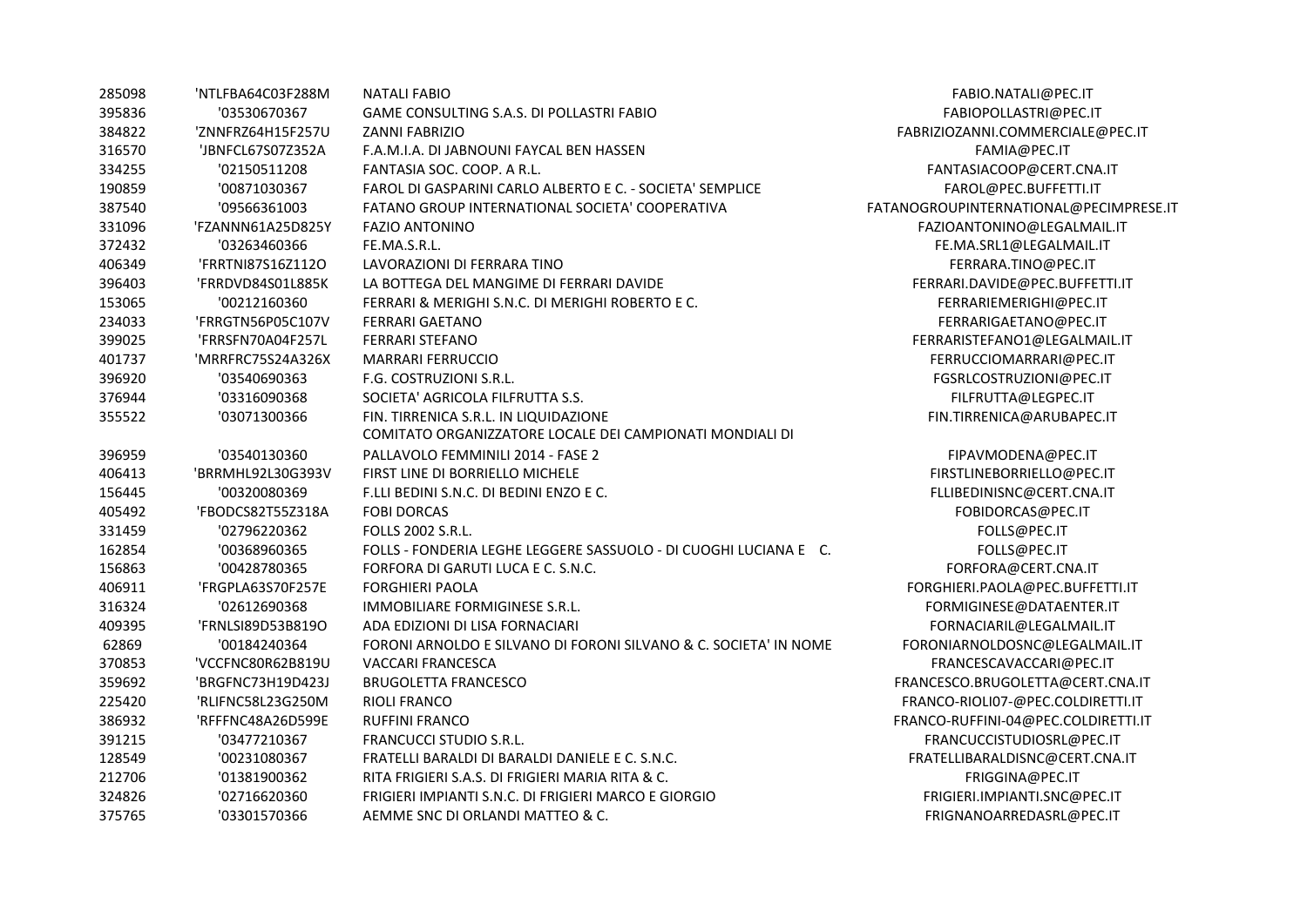| 285098 | 'NTLFBA64C03F288M | <b>NATALI FABIO</b>                                              | FABIO.NATALI@PEC.IT                    |
|--------|-------------------|------------------------------------------------------------------|----------------------------------------|
| 395836 | '03530670367      | GAME CONSULTING S.A.S. DI POLLASTRI FABIO                        | FABIOPOLLASTRI@PEC.IT                  |
| 384822 | 'ZNNFRZ64H15F257U | <b>ZANNI FABRIZIO</b>                                            | FABRIZIOZANNI.COMMERCIALE@PEC.IT       |
| 316570 | 'JBNFCL67S07Z352A | F.A.M.I.A. DI JABNOUNI FAYCAL BEN HASSEN                         | FAMIA@PEC.IT                           |
| 334255 | '02150511208      | FANTASIA SOC. COOP. A R.L.                                       | FANTASIACOOP@CERT.CNA.IT               |
| 190859 | '00871030367      | FAROL DI GASPARINI CARLO ALBERTO E C. - SOCIETA' SEMPLICE        | FAROL@PEC.BUFFETTI.IT                  |
| 387540 | '09566361003      | FATANO GROUP INTERNATIONAL SOCIETA' COOPERATIVA                  | FATANOGROUPINTERNATIONAL@PECIMPRESE.IT |
| 331096 | 'FZANNN61A25D825Y | <b>FAZIO ANTONINO</b>                                            | FAZIOANTONINO@LEGALMAIL.IT             |
| 372432 | '03263460366      | FE.MA.S.R.L.                                                     | FE.MA.SRL1@LEGALMAIL.IT                |
| 406349 | 'FRRTNI87S16Z112O | LAVORAZIONI DI FERRARA TINO                                      | FERRARA.TINO@PEC.IT                    |
| 396403 | 'FRRDVD84S01L885K | LA BOTTEGA DEL MANGIME DI FERRARI DAVIDE                         | FERRARI.DAVIDE@PEC.BUFFETTI.IT         |
| 153065 | '00212160360      | FERRARI & MERIGHI S.N.C. DI MERIGHI ROBERTO E C.                 | FERRARIEMERIGHI@PEC.IT                 |
| 234033 | 'FRRGTN56P05C107V | <b>FERRARI GAETANO</b>                                           | FERRARIGAETANO@PEC.IT                  |
| 399025 | 'FRRSFN70A04F257L | <b>FERRARI STEFANO</b>                                           | FERRARISTEFANO1@LEGALMAIL.IT           |
| 401737 | 'MRRFRC75S24A326X | <b>MARRARI FERRUCCIO</b>                                         | FERRUCCIOMARRARI@PEC.IT                |
| 396920 | '03540690363      | F.G. COSTRUZIONI S.R.L.                                          | FGSRLCOSTRUZIONI@PEC.IT                |
| 376944 | '03316090368      | SOCIETA' AGRICOLA FILFRUTTA S.S.                                 | FILFRUTTA@LEGPEC.IT                    |
| 355522 | '03071300366      | FIN. TIRRENICA S.R.L. IN LIQUIDAZIONE                            | FIN.TIRRENICA@ARUBAPEC.IT              |
|        |                   | COMITATO ORGANIZZATORE LOCALE DEI CAMPIONATI MONDIALI DI         |                                        |
| 396959 | '03540130360      | PALLAVOLO FEMMINILI 2014 - FASE 2                                | FIPAVMODENA@PEC.IT                     |
| 406413 | 'BRRMHL92L30G393V | FIRST LINE DI BORRIELLO MICHELE                                  | FIRSTLINEBORRIELLO@PEC.IT              |
| 156445 | '00320080369      | F.LLI BEDINI S.N.C. DI BEDINI ENZO E C.                          | FLLIBEDINISNC@CERT.CNA.IT              |
| 405492 | 'FBODCS82T55Z318A | <b>FOBI DORCAS</b>                                               | FOBIDORCAS@PEC.IT                      |
| 331459 | '02796220362      | <b>FOLLS 2002 S.R.L.</b>                                         | FOLLS@PEC.IT                           |
| 162854 | '00368960365      | FOLLS - FONDERIA LEGHE LEGGERE SASSUOLO - DI CUOGHI LUCIANA E C. | FOLLS@PEC.IT                           |
| 156863 | '00428780365      | FORFORA DI GARUTI LUCA E C. S.N.C.                               | FORFORA@CERT.CNA.IT                    |
| 406911 | 'FRGPLA63S70F257E | <b>FORGHIERI PAOLA</b>                                           | FORGHIERI.PAOLA@PEC.BUFFETTI.IT        |
| 316324 | '02612690368      | IMMOBILIARE FORMIGINESE S.R.L.                                   | FORMIGINESE@DATAENTER.IT               |
| 409395 | 'FRNLSI89D53B819O | ADA EDIZIONI DI LISA FORNACIARI                                  | FORNACIARIL@LEGALMAIL.IT               |
| 62869  | '00184240364      | FORONI ARNOLDO E SILVANO DI FORONI SILVANO & C. SOCIETA' IN NOME | FORONIARNOLDOSNC@LEGALMAIL.IT          |
| 370853 | 'VCCFNC80R62B819U | <b>VACCARI FRANCESCA</b>                                         | FRANCESCAVACCARI@PEC.IT                |
| 359692 | 'BRGFNC73H19D423J | <b>BRUGOLETTA FRANCESCO</b>                                      | FRANCESCO.BRUGOLETTA@CERT.CNA.IT       |
| 225420 | 'RLIFNC58L23G250M | <b>RIOLI FRANCO</b>                                              | FRANCO-RIOLI07-@PEC.COLDIRETTI.IT      |
| 386932 | 'RFFFNC48A26D599E | <b>RUFFINI FRANCO</b>                                            | FRANCO-RUFFINI-04@PEC.COLDIRETTI.IT    |
| 391215 | '03477210367      | <b>FRANCUCCI STUDIO S.R.L.</b>                                   | FRANCUCCISTUDIOSRL@PEC.IT              |
| 128549 | '00231080367      | FRATELLI BARALDI DI BARALDI DANIELE E C. S.N.C.                  | FRATELLIBARALDISNC@CERT.CNA.IT         |
| 212706 | '01381900362      | RITA FRIGIERI S.A.S. DI FRIGIERI MARIA RITA & C.                 | FRIGGINA@PEC.IT                        |
| 324826 | '02716620360      | FRIGIERI IMPIANTI S.N.C. DI FRIGIERI MARCO E GIORGIO             | FRIGIERI.IMPIANTI.SNC@PEC.IT           |
| 375765 | '03301570366      | AEMME SNC DI ORLANDI MATTEO & C.                                 | FRIGNANOARREDASRL@PEC.IT               |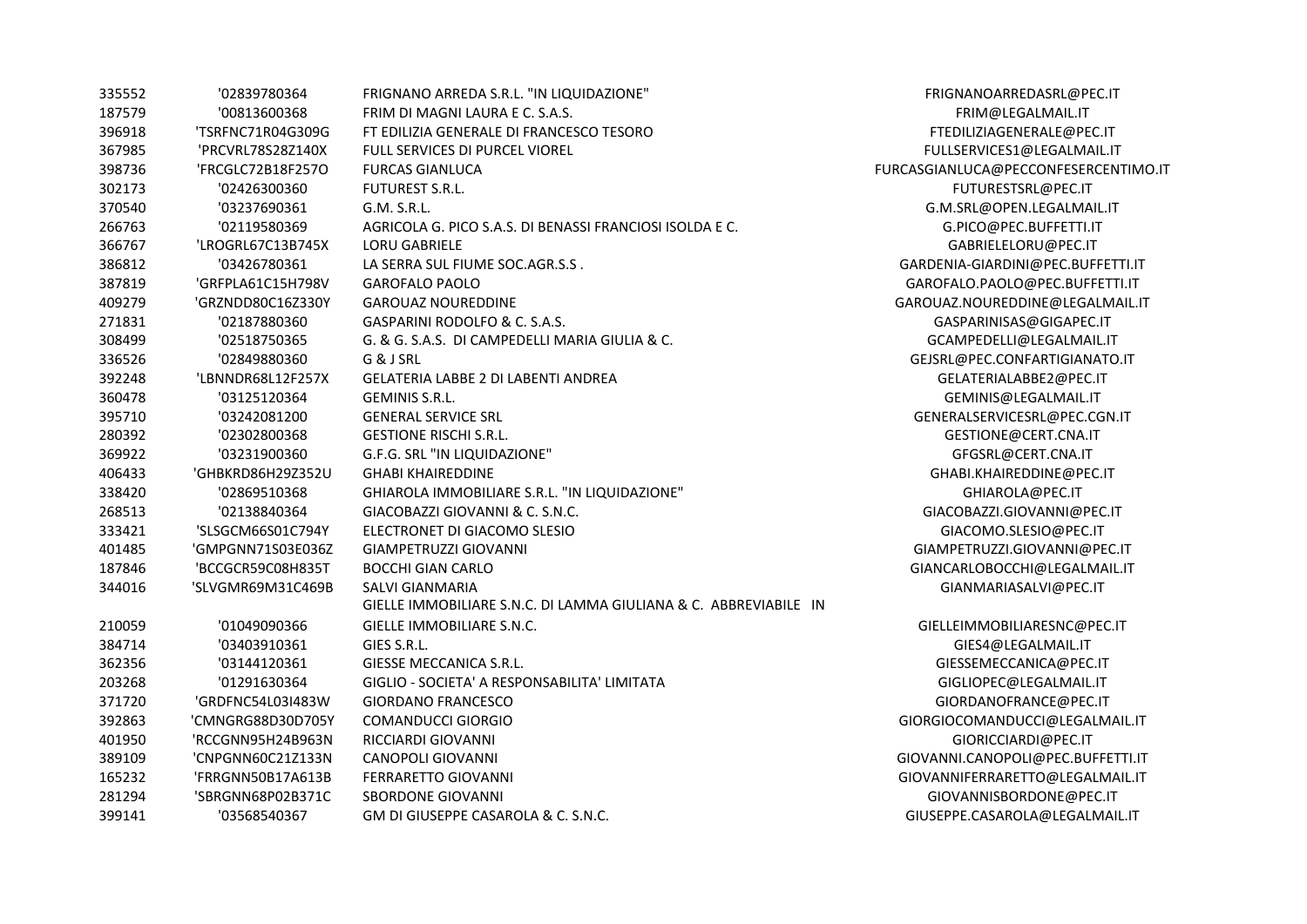| 335552 | '02839780364      | FRIGNANO ARREDA S.R.L. "IN LIQUIDAZIONE"                         | FRIGNANOARREDASRL@PEC.IT             |
|--------|-------------------|------------------------------------------------------------------|--------------------------------------|
| 187579 | '00813600368      | FRIM DI MAGNI LAURA E C. S.A.S.                                  | FRIM@LEGALMAIL.IT                    |
| 396918 | 'TSRFNC71R04G309G | FT EDILIZIA GENERALE DI FRANCESCO TESORO                         | FTEDILIZIAGENERALE@PEC.IT            |
| 367985 | 'PRCVRL78S28Z140X | <b>FULL SERVICES DI PURCEL VIOREL</b>                            | FULLSERVICES1@LEGALMAIL.IT           |
| 398736 | 'FRCGLC72B18F257O | <b>FURCAS GIANLUCA</b>                                           | FURCASGIANLUCA@PECCONFESERCENTIMO.IT |
| 302173 | '02426300360      | <b>FUTUREST S.R.L.</b>                                           | FUTURESTSRL@PEC.IT                   |
| 370540 | '03237690361      | G.M. S.R.L.                                                      | G.M.SRL@OPEN.LEGALMAIL.IT            |
| 266763 | '02119580369      | AGRICOLA G. PICO S.A.S. DI BENASSI FRANCIOSI ISOLDA E C.         | G.PICO@PEC.BUFFETTI.IT               |
| 366767 | 'LROGRL67C13B745X | <b>LORU GABRIELE</b>                                             | GABRIELELORU@PEC.IT                  |
| 386812 | '03426780361      | LA SERRA SUL FIUME SOC.AGR.S.S.                                  | GARDENIA-GIARDINI@PEC.BUFFETTI.IT    |
| 387819 | 'GRFPLA61C15H798V | <b>GAROFALO PAOLO</b>                                            | GAROFALO.PAOLO@PEC.BUFFETTI.IT       |
| 409279 | 'GRZNDD80C16Z330Y | <b>GAROUAZ NOUREDDINE</b>                                        | GAROUAZ.NOUREDDINE@LEGALMAIL.IT      |
| 271831 | '02187880360      | GASPARINI RODOLFO & C. S.A.S.                                    | GASPARINISAS@GIGAPEC.IT              |
| 308499 | '02518750365      | G. & G. S.A.S. DI CAMPEDELLI MARIA GIULIA & C.                   | GCAMPEDELLI@LEGALMAIL.IT             |
| 336526 | '02849880360      | G & J SRL                                                        | GEJSRL@PEC.CONFARTIGIANATO.IT        |
| 392248 | 'LBNNDR68L12F257X | <b>GELATERIA LABBE 2 DI LABENTI ANDREA</b>                       | GELATERIALABBE2@PEC.IT               |
| 360478 | '03125120364      | <b>GEMINIS S.R.L.</b>                                            | GEMINIS@LEGALMAIL.IT                 |
| 395710 | '03242081200      | <b>GENERAL SERVICE SRL</b>                                       | GENERALSERVICESRL@PEC.CGN.IT         |
| 280392 | '02302800368      | <b>GESTIONE RISCHI S.R.L.</b>                                    | GESTIONE@CERT.CNA.IT                 |
| 369922 | '03231900360      | G.F.G. SRL "IN LIQUIDAZIONE"                                     | GFGSRL@CERT.CNA.IT                   |
| 406433 | 'GHBKRD86H29Z352U | <b>GHABI KHAIREDDINE</b>                                         | GHABI.KHAIREDDINE@PEC.IT             |
| 338420 | '02869510368      | GHIAROLA IMMOBILIARE S.R.L. "IN LIQUIDAZIONE"                    | GHIAROLA@PEC.IT                      |
| 268513 | '02138840364      | GIACOBAZZI GIOVANNI & C. S.N.C.                                  | GIACOBAZZI.GIOVANNI@PEC.IT           |
| 333421 | 'SLSGCM66S01C794Y | ELECTRONET DI GIACOMO SLESIO                                     | GIACOMO.SLESIO@PEC.IT                |
| 401485 | 'GMPGNN71S03E036Z | <b>GIAMPETRUZZI GIOVANNI</b>                                     | GIAMPETRUZZI.GIOVANNI@PEC.IT         |
| 187846 | 'BCCGCR59C08H835T | <b>BOCCHI GIAN CARLO</b>                                         | GIANCARLOBOCCHI@LEGALMAIL.IT         |
| 344016 | 'SLVGMR69M31C469B | SALVI GIANMARIA                                                  | GIANMARIASALVI@PEC.IT                |
|        |                   | GIELLE IMMOBILIARE S.N.C. DI LAMMA GIULIANA & C. ABBREVIABILE IN |                                      |
| 210059 | '01049090366      | GIELLE IMMOBILIARE S.N.C.                                        | GIELLEIMMOBILIARESNC@PEC.IT          |
| 384714 | '03403910361      | GIES S.R.L.                                                      | GIES4@LEGALMAIL.IT                   |
| 362356 | '03144120361      | GIESSE MECCANICA S.R.L.                                          | GIESSEMECCANICA@PEC.IT               |
| 203268 | '01291630364      | GIGLIO - SOCIETA' A RESPONSABILITA' LIMITATA                     | GIGLIOPEC@LEGALMAIL.IT               |
| 371720 | 'GRDFNC54L03I483W | <b>GIORDANO FRANCESCO</b>                                        | GIORDANOFRANCE@PEC.IT                |
| 392863 | 'CMNGRG88D30D705Y | <b>COMANDUCCI GIORGIO</b>                                        | GIORGIOCOMANDUCCI@LEGALMAIL.IT       |
| 401950 | 'RCCGNN95H24B963N | RICCIARDI GIOVANNI                                               | GIORICCIARDI@PEC.IT                  |
| 389109 | 'CNPGNN60C21Z133N | <b>CANOPOLI GIOVANNI</b>                                         | GIOVANNI.CANOPOLI@PEC.BUFFETTI.IT    |
| 165232 | 'FRRGNN50B17A613B | FERRARETTO GIOVANNI                                              | GIOVANNIFERRARETTO@LEGALMAIL.IT      |
| 281294 | 'SBRGNN68P02B371C | <b>SBORDONE GIOVANNI</b>                                         | GIOVANNISBORDONE@PEC.IT              |
| 399141 | '03568540367      | GM DI GIUSEPPE CASAROLA & C. S.N.C.                              | GIUSEPPE.CASAROLA@LEGALMAIL.IT       |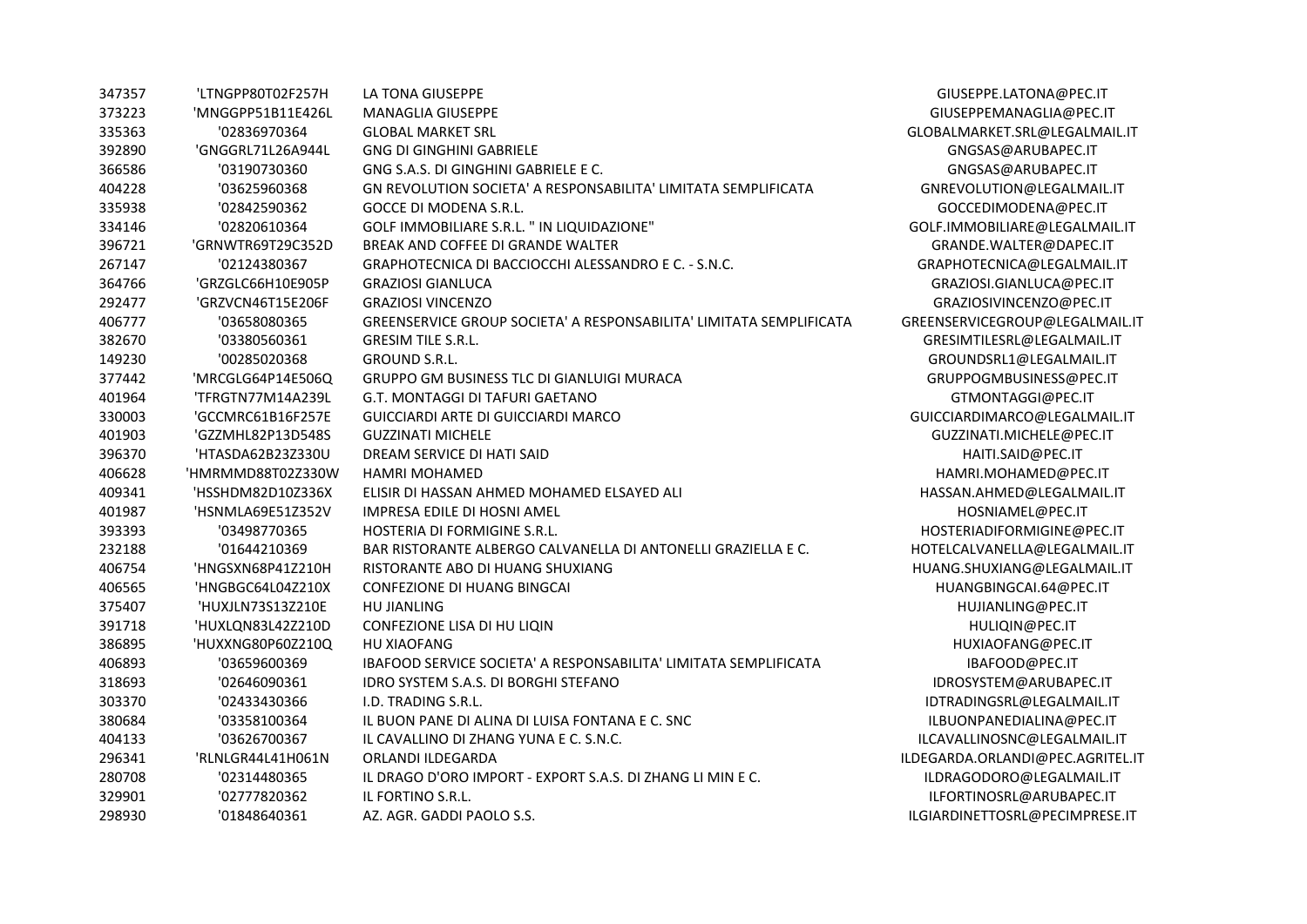| 347357 | 'LTNGPP80T02F257H | LA TONA GIUSEPPE                                                    | GIUSEPPE.LATONA@PEC.IT           |
|--------|-------------------|---------------------------------------------------------------------|----------------------------------|
| 373223 | 'MNGGPP51B11E426L | MANAGLIA GIUSEPPE                                                   | GIUSEPPEMANAGLIA@PEC.IT          |
| 335363 | '02836970364      | <b>GLOBAL MARKET SRL</b>                                            | GLOBALMARKET.SRL@LEGALMAIL.IT    |
| 392890 | 'GNGGRL71L26A944L | <b>GNG DI GINGHINI GABRIELE</b>                                     | GNGSAS@ARUBAPEC.IT               |
| 366586 | '03190730360      | GNG S.A.S. DI GINGHINI GABRIELE E C.                                | GNGSAS@ARUBAPEC.IT               |
| 404228 | '03625960368      | GN REVOLUTION SOCIETA' A RESPONSABILITA' LIMITATA SEMPLIFICATA      | GNREVOLUTION@LEGALMAIL.IT        |
| 335938 | '02842590362      | <b>GOCCE DI MODENA S.R.L.</b>                                       | GOCCEDIMODENA@PEC.IT             |
| 334146 | '02820610364      | GOLF IMMOBILIARE S.R.L. " IN LIQUIDAZIONE"                          | GOLF.IMMOBILIARE@LEGALMAIL.IT    |
| 396721 | 'GRNWTR69T29C352D | BREAK AND COFFEE DI GRANDE WALTER                                   | GRANDE.WALTER@DAPEC.IT           |
| 267147 | '02124380367      | GRAPHOTECNICA DI BACCIOCCHI ALESSANDRO E C. - S.N.C.                | GRAPHOTECNICA@LEGALMAIL.IT       |
| 364766 | 'GRZGLC66H10E905P | <b>GRAZIOSI GIANLUCA</b>                                            | GRAZIOSI.GIANLUCA@PEC.IT         |
| 292477 | 'GRZVCN46T15E206F | <b>GRAZIOSI VINCENZO</b>                                            | GRAZIOSIVINCENZO@PEC.IT          |
| 406777 | '03658080365      | GREENSERVICE GROUP SOCIETA' A RESPONSABILITA' LIMITATA SEMPLIFICATA | GREENSERVICEGROUP@LEGALMAIL.IT   |
| 382670 | '03380560361      | <b>GRESIM TILE S.R.L.</b>                                           | GRESIMTILESRL@LEGALMAIL.IT       |
| 149230 | '00285020368      | <b>GROUND S.R.L.</b>                                                | GROUNDSRL1@LEGALMAIL.IT          |
| 377442 | 'MRCGLG64P14E506Q | GRUPPO GM BUSINESS TLC DI GIANLUIGI MURACA                          | GRUPPOGMBUSINESS@PEC.IT          |
| 401964 | 'TFRGTN77M14A239L | G.T. MONTAGGI DI TAFURI GAETANO                                     | GTMONTAGGI@PEC.IT                |
| 330003 | 'GCCMRC61B16F257E | GUICCIARDI ARTE DI GUICCIARDI MARCO                                 | GUICCIARDIMARCO@LEGALMAIL.IT     |
| 401903 | 'GZZMHL82P13D548S | <b>GUZZINATI MICHELE</b>                                            | GUZZINATI.MICHELE@PEC.IT         |
| 396370 | 'HTASDA62B23Z330U | DREAM SERVICE DI HATI SAID                                          | HAITI.SAID@PEC.IT                |
| 406628 | 'HMRMMD88T02Z330W | <b>HAMRI MOHAMED</b>                                                | HAMRI.MOHAMED@PEC.IT             |
| 409341 | 'HSSHDM82D10Z336X | ELISIR DI HASSAN AHMED MOHAMED ELSAYED ALI                          | HASSAN.AHMED@LEGALMAIL.IT        |
| 401987 | 'HSNMLA69E51Z352V | IMPRESA EDILE DI HOSNI AMEL                                         | HOSNIAMEL@PEC.IT                 |
| 393393 | '03498770365      | HOSTERIA DI FORMIGINE S.R.L.                                        | HOSTERIADIFORMIGINE@PEC.IT       |
| 232188 | '01644210369      | BAR RISTORANTE ALBERGO CALVANELLA DI ANTONELLI GRAZIELLA E C.       | HOTELCALVANELLA@LEGALMAIL.IT     |
| 406754 | 'HNGSXN68P41Z210H | RISTORANTE ABO DI HUANG SHUXIANG                                    | HUANG.SHUXIANG@LEGALMAIL.IT      |
| 406565 | 'HNGBGC64L04Z210X | <b>CONFEZIONE DI HUANG BINGCAI</b>                                  | HUANGBINGCAI.64@PEC.IT           |
| 375407 | 'HUXJLN73S13Z210E | <b>HU JIANLING</b>                                                  | HUJIANLING@PEC.IT                |
| 391718 | 'HUXLQN83L42Z210D | CONFEZIONE LISA DI HU LIQIN                                         | HULIQIN@PEC.IT                   |
| 386895 | 'HUXXNG80P60Z210Q | <b>HU XIAOFANG</b>                                                  | HUXIAOFANG@PEC.IT                |
| 406893 | '03659600369      | IBAFOOD SERVICE SOCIETA' A RESPONSABILITA' LIMITATA SEMPLIFICATA    | IBAFOOD@PEC.IT                   |
| 318693 | '02646090361      | IDRO SYSTEM S.A.S. DI BORGHI STEFANO                                | IDROSYSTEM@ARUBAPEC.IT           |
| 303370 | '02433430366      | I.D. TRADING S.R.L.                                                 | IDTRADINGSRL@LEGALMAIL.IT        |
| 380684 | '03358100364      | IL BUON PANE DI ALINA DI LUISA FONTANA E C. SNC                     | ILBUONPANEDIALINA@PEC.IT         |
| 404133 | '03626700367      | IL CAVALLINO DI ZHANG YUNA E C. S.N.C.                              | ILCAVALLINOSNC@LEGALMAIL.IT      |
| 296341 | 'RLNLGR44L41H061N | ORLANDI ILDEGARDA                                                   | ILDEGARDA.ORLANDI@PEC.AGRITEL.IT |
| 280708 | '02314480365      | IL DRAGO D'ORO IMPORT - EXPORT S.A.S. DI ZHANG LI MIN E C.          | ILDRAGODORO@LEGALMAIL.IT         |
| 329901 | '02777820362      | IL FORTINO S.R.L.                                                   | ILFORTINOSRL@ARUBAPEC.IT         |
| 298930 | '01848640361      | AZ. AGR. GADDI PAOLO S.S.                                           | ILGIARDINETTOSRL@PECIMPRESE.IT   |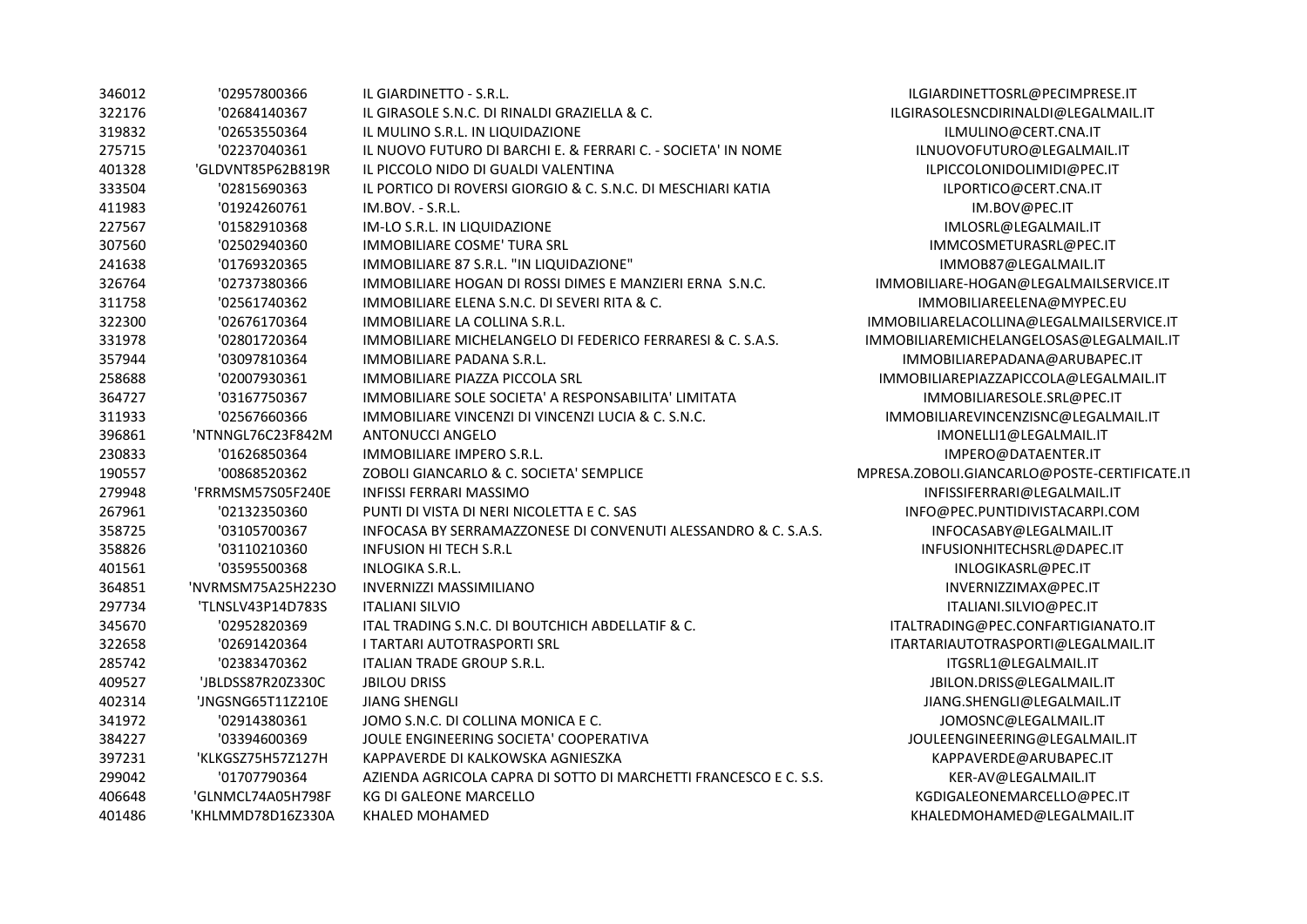| 346012 | '02957800366      | IL GIARDINETTO - S.R.L.                                          | ILGIARDINETTOSRL@PECII     |
|--------|-------------------|------------------------------------------------------------------|----------------------------|
| 322176 | '02684140367      | IL GIRASOLE S.N.C. DI RINALDI GRAZIELLA & C.                     | ILGIRASOLESNCDIRINALDI@L   |
| 319832 | '02653550364      | IL MULINO S.R.L. IN LIQUIDAZIONE                                 | ILMULINO@CERT.CN           |
| 275715 | '02237040361      | IL NUOVO FUTURO DI BARCHI E. & FERRARI C. - SOCIETA' IN NOME     | ILNUOVOFUTURO@LEGA         |
| 401328 | 'GLDVNT85P62B819R | IL PICCOLO NIDO DI GUALDI VALENTINA                              | ILPICCOLONIDOLIMIDI(       |
| 333504 | '02815690363      | IL PORTICO DI ROVERSI GIORGIO & C. S.N.C. DI MESCHIARI KATIA     | ILPORTICO@CERT.CI          |
| 411983 | '01924260761      | IM.BOV. - S.R.L.                                                 | IM.BOV@PEC.IT              |
| 227567 | '01582910368      | IM-LO S.R.L. IN LIQUIDAZIONE                                     | IMLOSRL@LEGALMA            |
| 307560 | '02502940360      | <b>IMMOBILIARE COSME' TURA SRL</b>                               | <b>IMMCOSMETURASRL</b> @   |
| 241638 | '01769320365      | IMMOBILIARE 87 S.R.L. "IN LIQUIDAZIONE"                          | IMMOB87@LEGALM             |
| 326764 | '02737380366      | IMMOBILIARE HOGAN DI ROSSI DIMES E MANZIERI ERNA S.N.C.          | IMMOBILIARE-HOGAN@LEGALI   |
| 311758 | '02561740362      | IMMOBILIARE ELENA S.N.C. DI SEVERI RITA & C.                     | IMMOBILIAREELENA@M         |
| 322300 | '02676170364      | IMMOBILIARE LA COLLINA S.R.L.                                    | IMMOBILIARELACOLLINA@LEGA  |
| 331978 | '02801720364      | IMMOBILIARE MICHELANGELO DI FEDERICO FERRARESI & C. S.A.S.       | IMMOBILIAREMICHELANGELOSA  |
| 357944 | '03097810364      | <b>IMMOBILIARE PADANA S.R.L.</b>                                 | IMMOBILIAREPADANA@AF       |
| 258688 | '02007930361      | <b>IMMOBILIARE PIAZZA PICCOLA SRL</b>                            | IMMOBILIAREPIAZZAPICCOLA   |
| 364727 | '03167750367      | IMMOBILIARE SOLE SOCIETA' A RESPONSABILITA' LIMITATA             | IMMOBILIARESOLE.SRL        |
| 311933 | '02567660366      | IMMOBILIARE VINCENZI DI VINCENZI LUCIA & C. S.N.C.               | IMMOBILIAREVINCENZISNC@    |
| 396861 | 'NTNNGL76C23F842M | <b>ANTONUCCI ANGELO</b>                                          | IMONELLI1@LEGALM           |
| 230833 | '01626850364      | IMMOBILIARE IMPERO S.R.L.                                        | IMPERO@DATAENTI            |
| 190557 | '00868520362      | ZOBOLI GIANCARLO & C. SOCIETA' SEMPLICE                          | MPRESA.ZOBOLI.GIANCARLO@PO |
| 279948 | 'FRRMSM57S05F240E | <b>INFISSI FERRARI MASSIMO</b>                                   | INFISSIFERRARI@LEGAL       |
| 267961 | '02132350360      | PUNTI DI VISTA DI NERI NICOLETTA E C. SAS                        | INFO@PEC.PUNTIDIVISTAC     |
| 358725 | '03105700367      | INFOCASA BY SERRAMAZZONESE DI CONVENUTI ALESSANDRO & C. S.A.S.   | INFOCASABY@LEGALN          |
| 358826 | '03110210360      | <b>INFUSION HI TECH S.R.L</b>                                    | INFUSIONHITECHSRL@D        |
| 401561 | '03595500368      | <b>INLOGIKA S.R.L.</b>                                           | INLOGIKASRL@PEC            |
| 364851 | 'NVRMSM75A25H223O | <b>INVERNIZZI MASSIMILIANO</b>                                   | INVERNIZZIMAX@PI           |
| 297734 | 'TLNSLV43P14D783S | <b>ITALIANI SILVIO</b>                                           | ITALIANI.SILVIO@PE         |
| 345670 | '02952820369      | ITAL TRADING S.N.C. DI BOUTCHICH ABDELLATIF & C.                 | ITALTRADING@PEC.CONFART    |
| 322658 | '02691420364      | <b>I TARTARI AUTOTRASPORTI SRL</b>                               | ITARTARIAUTOTRASPORTI@L    |
| 285742 | '02383470362      | ITALIAN TRADE GROUP S.R.L.                                       | ITGSRL1@LEGALMA            |
| 409527 | 'JBLDSS87R20Z330C | <b>JBILOU DRISS</b>                                              | JBILON.DRISS@LEGALN        |
| 402314 | 'JNGSNG65T11Z210E | <b>JIANG SHENGLI</b>                                             | JIANG.SHENGLI@LEGAL        |
| 341972 | '02914380361      | JOMO S.N.C. DI COLLINA MONICA E C.                               | JOMOSNC@LEGALM             |
| 384227 | '03394600369      | JOULE ENGINEERING SOCIETA' COOPERATIVA                           | JOULEENGINEERING@LEG       |
| 397231 | 'KLKGSZ75H57Z127H | KAPPAVERDE DI KALKOWSKA AGNIESZKA                                | KAPPAVERDE@ARUBA           |
| 299042 | '01707790364      | AZIENDA AGRICOLA CAPRA DI SOTTO DI MARCHETTI FRANCESCO E C. S.S. | KER-AV@LEGALMA             |
| 406648 | 'GLNMCL74A05H798F | <b>KG DI GALEONE MARCELLO</b>                                    | KGDIGALEONEMARCELLO        |
| 401486 | 'KHLMMD78D16Z330A | <b>KHALED MOHAMED</b>                                            | KHALEDMOHAMED@LEG.         |

ARDINETTOSRL@PECIMPRESE.IT 322176 '02684140367 IL GIRASOLE S.N.C. DI RINALDI GRAZIELLA & C. ILGIRASOLESNCDIRINALDI@LEGALMAIL.IT ILMULINO@CERT.CNA.IT IUOVOFUTURO@LEGALMAIL.IT 401328 'GLDVNT85P62B819R IL PICCOLO NIDO DI GUALDI VALENTINA ILPICCOLONIDOLIMIDI@PEC.IT ILPORTICO@CERT.CNA.IT IMLOSRL@LEGALMAIL.IT MMCOSMETURASRL@PEC.IT IMMOB87@LEGALMAIL.IT LIARE-HOGAN@LEGALMAILSERVICE.IT 1MOBILIARE ELENA@MYPEC.EU ARELACOLLINA@LEGALMAILSERVICE.IT  $\overline{AREMICHELANGELOSAS@LEGALMAIL.}$ IT OBILIARE PADANA @ARUBAPEC.IT LIARE PIAZZA PICCOLA @LEGALMAIL.IT 364727 '03167750367 IMMOBILIARE SOLE SOCIETA' A RESPONSABILITA' LIMITATA IMMOBILIARESOLE.SRL@PEC.IT 311933 '02567660366 IMMOBILIARE VINCENZI DI VINCENZI LUCIA & C. S.N.C. IMMOBILIAREVINCENZISNC@LEGALMAIL.IT IMONELLI1@LEGALMAIL.IT IMPERO@DATAENTER.IT BOLI.GIANCARLO@POSTE-CERTIFICATE.IT  $\overline{P}$ IPISSIFERRARI@LEGALMAIL.IT 0@PEC.PUNTIDIVISTACARPI.COM  $\overline{\text{INFOCASABY@LEGALMAIL.IT}}$ IFUSIONHITECHSRL@DAPEC.IT INLOGIKASRL@PEC.IT INVERNIZZIMAX@PEC.IT ITALIANI.SILVIO@PEC.IT ADING@PEC.CONFARTIGIANATO.IT RIAUTOTRASPORTI@LEGALMAIL.IT ITGSRL1@LEGALMAIL.IT BILON.DRISS@LEGALMAIL.IT ANG.SHENGLI@LEGALMAIL.IT JOMOSNC@LEGALMAIL.IT LEENGINEERING@LEGALMAIL.IT KAPPAVERDE@ARUBAPEC.IT KER-AV@LEGALMAIL.IT DIGALEONEMARCELLO@PEC.IT  $\Delta$ LEDMOHAMED@LEGALMAIL.IT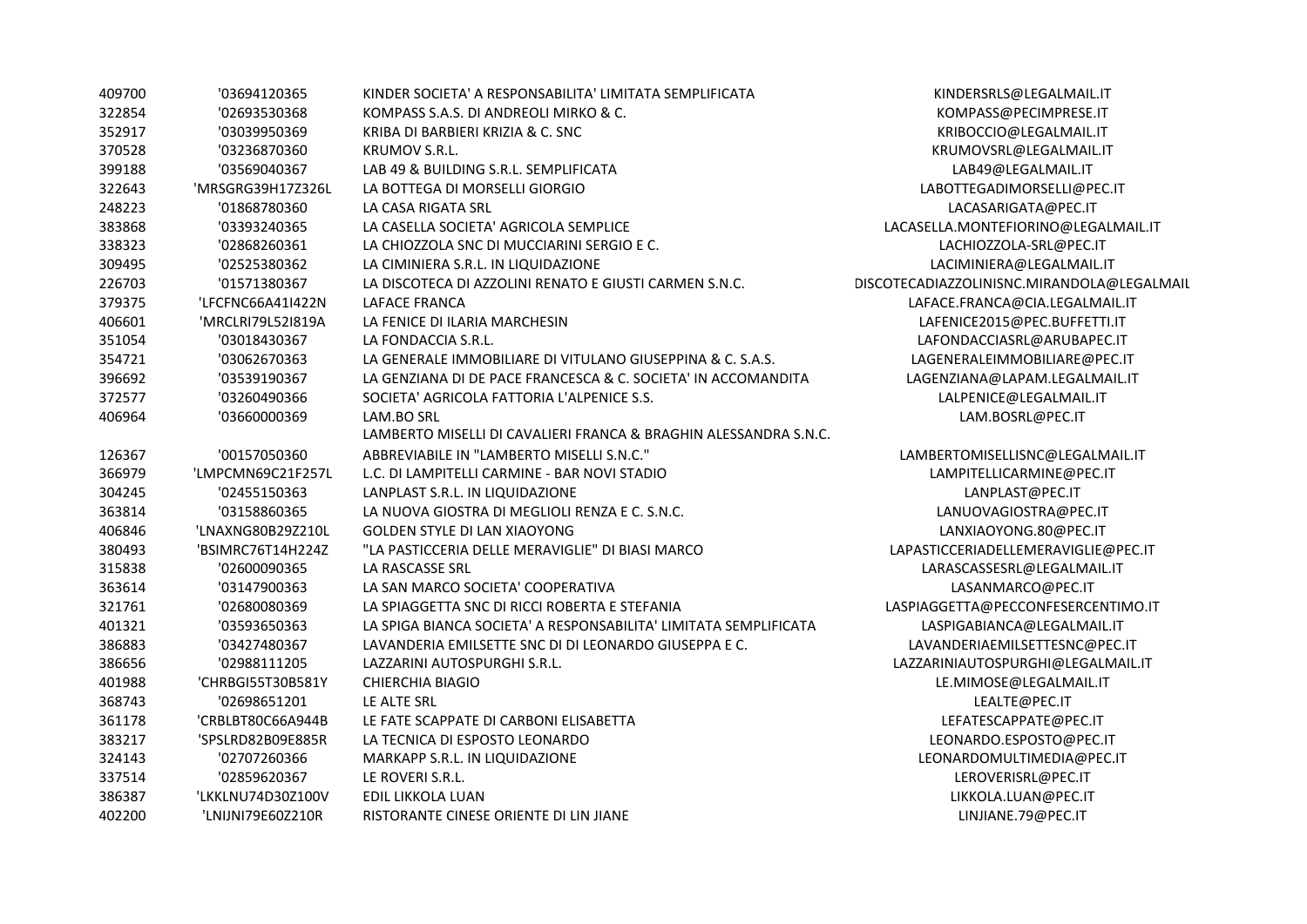| 409700 | '03694120365      | KINDER SOCIETA' A RESPONSABILITA' LIMITATA SEMPLIFICATA          | KINDERSRLS@LEGALMAIL.IT                    |
|--------|-------------------|------------------------------------------------------------------|--------------------------------------------|
| 322854 | '02693530368      | KOMPASS S.A.S. DI ANDREOLI MIRKO & C.                            | KOMPASS@PECIMPRESE.IT                      |
| 352917 | '03039950369      | KRIBA DI BARBIERI KRIZIA & C. SNC                                | KRIBOCCIO@LEGALMAIL.IT                     |
| 370528 | '03236870360      | <b>KRUMOV S.R.L.</b>                                             | KRUMOVSRL@LEGALMAIL.IT                     |
| 399188 | '03569040367      | LAB 49 & BUILDING S.R.L. SEMPLIFICATA                            | LAB49@LEGALMAIL.IT                         |
| 322643 | 'MRSGRG39H17Z326L | LA BOTTEGA DI MORSELLI GIORGIO                                   | LABOTTEGADIMORSELLI@PEC.IT                 |
| 248223 | '01868780360      | LA CASA RIGATA SRL                                               | LACASARIGATA@PEC.IT                        |
| 383868 | '03393240365      | LA CASELLA SOCIETA' AGRICOLA SEMPLICE                            | LACASELLA.MONTEFIORINO@LEGALMAIL.IT        |
| 338323 | '02868260361      | LA CHIOZZOLA SNC DI MUCCIARINI SERGIO E C.                       | LACHIOZZOLA-SRL@PEC.IT                     |
| 309495 | '02525380362      | LA CIMINIERA S.R.L. IN LIQUIDAZIONE                              | LACIMINIERA@LEGALMAIL.IT                   |
| 226703 | '01571380367      | LA DISCOTECA DI AZZOLINI RENATO E GIUSTI CARMEN S.N.C.           | DISCOTECADIAZZOLINISNC.MIRANDOLA@LEGALMAIL |
| 379375 | 'LFCFNC66A41I422N | LAFACE FRANCA                                                    | LAFACE.FRANCA@CIA.LEGALMAIL.IT             |
| 406601 | 'MRCLRI79L52I819A | LA FENICE DI ILARIA MARCHESIN                                    | LAFENICE2015@PEC.BUFFETTI.IT               |
| 351054 | '03018430367      | LA FONDACCIA S.R.L.                                              | LAFONDACCIASRL@ARUBAPEC.IT                 |
| 354721 | '03062670363      | LA GENERALE IMMOBILIARE DI VITULANO GIUSEPPINA & C. S.A.S.       | LAGENERALEIMMOBILIARE@PEC.IT               |
| 396692 | '03539190367      | LA GENZIANA DI DE PACE FRANCESCA & C. SOCIETA' IN ACCOMANDITA    | LAGENZIANA@LAPAM.LEGALMAIL.IT              |
| 372577 | '03260490366      | SOCIETA' AGRICOLA FATTORIA L'ALPENICE S.S.                       | LALPENICE@LEGALMAIL.IT                     |
| 406964 | '03660000369      | LAM.BO SRL                                                       | LAM.BOSRL@PEC.IT                           |
|        |                   | LAMBERTO MISELLI DI CAVALIERI FRANCA & BRAGHIN ALESSANDRA S.N.C. |                                            |
| 126367 | '00157050360      | ABBREVIABILE IN "LAMBERTO MISELLI S.N.C."                        | LAMBERTOMISELLISNC@LEGALMAIL.IT            |
| 366979 | 'LMPCMN69C21F257L | L.C. DI LAMPITELLI CARMINE - BAR NOVI STADIO                     | LAMPITELLICARMINE@PEC.IT                   |
| 304245 | '02455150363      | LANPLAST S.R.L. IN LIQUIDAZIONE                                  | LANPLAST@PEC.IT                            |
| 363814 | '03158860365      | LA NUOVA GIOSTRA DI MEGLIOLI RENZA E C. S.N.C.                   | LANUOVAGIOSTRA@PEC.IT                      |
| 406846 | 'LNAXNG80B29Z210L | <b>GOLDEN STYLE DI LAN XIAOYONG</b>                              | LANXIAOYONG.80@PEC.IT                      |
| 380493 | 'BSIMRC76T14H224Z | "LA PASTICCERIA DELLE MERAVIGLIE" DI BIASI MARCO                 | LAPASTICCERIADELLEMERAVIGLIE@PEC.IT        |
| 315838 | '02600090365      | LA RASCASSE SRL                                                  | LARASCASSESRL@LEGALMAIL.IT                 |
| 363614 | '03147900363      | LA SAN MARCO SOCIETA' COOPERATIVA                                | LASANMARCO@PEC.IT                          |
| 321761 | '02680080369      | LA SPIAGGETTA SNC DI RICCI ROBERTA E STEFANIA                    | LASPIAGGETTA@PECCONFESERCENTIMO.IT         |
| 401321 | '03593650363      | LA SPIGA BIANCA SOCIETA' A RESPONSABILITA' LIMITATA SEMPLIFICATA | LASPIGABIANCA@LEGALMAIL.IT                 |
| 386883 | '03427480367      | LAVANDERIA EMILSETTE SNC DI DI LEONARDO GIUSEPPA E C.            | LAVANDERIAEMILSETTESNC@PEC.IT              |
| 386656 | '02988111205      | LAZZARINI AUTOSPURGHI S.R.L.                                     | LAZZARINIAUTOSPURGHI@LEGALMAIL.IT          |
| 401988 | 'CHRBGI55T30B581Y | <b>CHIERCHIA BIAGIO</b>                                          | LE.MIMOSE@LEGALMAIL.IT                     |
| 368743 | '02698651201      | LE ALTE SRL                                                      | LEALTE@PEC.IT                              |
| 361178 | 'CRBLBT80C66A944B | LE FATE SCAPPATE DI CARBONI ELISABETTA                           | LEFATESCAPPATE@PEC.IT                      |
| 383217 | 'SPSLRD82B09E885R | LA TECNICA DI ESPOSTO LEONARDO                                   | LEONARDO.ESPOSTO@PEC.IT                    |
| 324143 | '02707260366      | MARKAPP S.R.L. IN LIQUIDAZIONE                                   | LEONARDOMULTIMEDIA@PEC.IT                  |
| 337514 | '02859620367      | LE ROVERI S.R.L.                                                 | LEROVERISRL@PEC.IT                         |
| 386387 | 'LKKLNU74D30Z100V | EDIL LIKKOLA LUAN                                                | LIKKOLA.LUAN@PEC.IT                        |
| 402200 | 'LNIJNI79E60Z210R | RISTORANTE CINESE ORIENTE DI LIN JIANE                           | LINJIANE.79@PEC.IT                         |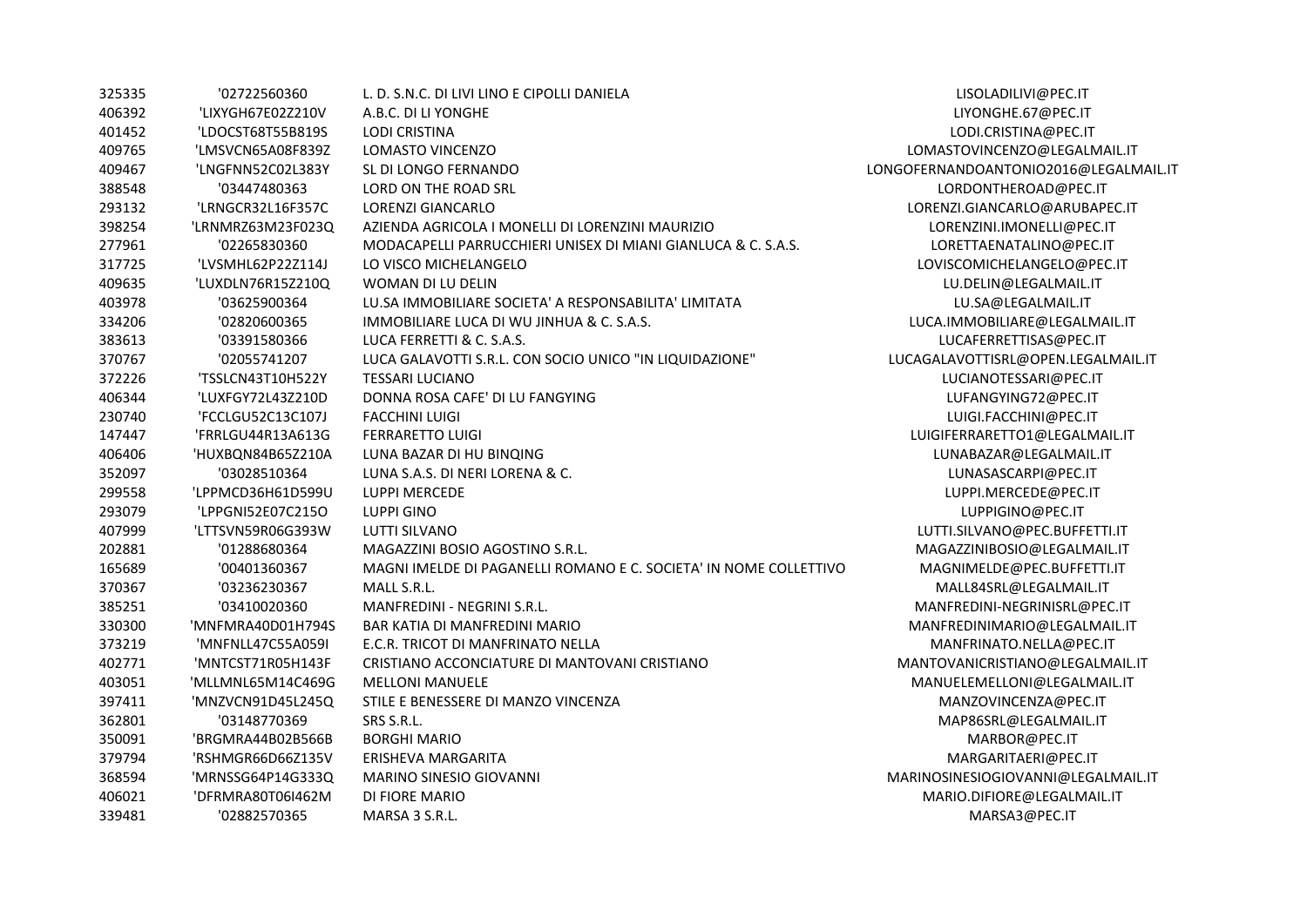| 325335 | '02722560360      | L. D. S.N.C. DI LIVI LINO E CIPOLLI DANIELA                       | LISOLADILIVI@PEC.IT                   |
|--------|-------------------|-------------------------------------------------------------------|---------------------------------------|
| 406392 | 'LIXYGH67E02Z210V | A.B.C. DI LI YONGHE                                               | LIYONGHE.67@PEC.IT                    |
| 401452 | 'LDOCST68T55B819S | <b>LODI CRISTINA</b>                                              | LODI.CRISTINA@PEC.IT                  |
| 409765 | 'LMSVCN65A08F839Z | LOMASTO VINCENZO                                                  | LOMASTOVINCENZO@LEGALMAIL.IT          |
| 409467 | 'LNGFNN52C02L383Y | SL DI LONGO FERNANDO                                              | LONGOFERNANDOANTONIO2016@LEGALMAIL.IT |
| 388548 | '03447480363      | LORD ON THE ROAD SRL                                              | LORDONTHEROAD@PEC.IT                  |
| 293132 | 'LRNGCR32L16F357C | <b>LORENZI GIANCARLO</b>                                          | LORENZI.GIANCARLO@ARUBAPEC.IT         |
| 398254 | 'LRNMRZ63M23F023Q | AZIENDA AGRICOLA I MONELLI DI LORENZINI MAURIZIO                  | LORENZINI.IMONELLI@PEC.IT             |
| 277961 | '02265830360      | MODACAPELLI PARRUCCHIERI UNISEX DI MIANI GIANLUCA & C. S.A.S.     | LORETTAENATALINO@PEC.IT               |
| 317725 | 'LVSMHL62P22Z114J | LO VISCO MICHELANGELO                                             | LOVISCOMICHELANGELO@PEC.IT            |
| 409635 | 'LUXDLN76R15Z210Q | WOMAN DI LU DELIN                                                 | LU.DELIN@LEGALMAIL.IT                 |
| 403978 | '03625900364      | LU.SA IMMOBILIARE SOCIETA' A RESPONSABILITA' LIMITATA             | LU.SA@LEGALMAIL.IT                    |
| 334206 | '02820600365      | IMMOBILIARE LUCA DI WU JINHUA & C. S.A.S.                         | LUCA.IMMOBILIARE@LEGALMAIL.IT         |
| 383613 | '03391580366      | LUCA FERRETTI & C. S.A.S.                                         | LUCAFERRETTISAS@PEC.IT                |
| 370767 | '02055741207      | LUCA GALAVOTTI S.R.L. CON SOCIO UNICO "IN LIQUIDAZIONE"           | LUCAGALAVOTTISRL@OPEN.LEGALMAIL.IT    |
| 372226 | 'TSSLCN43T10H522Y | <b>TESSARI LUCIANO</b>                                            | LUCIANOTESSARI@PEC.IT                 |
| 406344 | 'LUXFGY72L43Z210D | DONNA ROSA CAFE' DI LU FANGYING                                   | LUFANGYING72@PEC.IT                   |
| 230740 | 'FCCLGU52C13C107J | <b>FACCHINI LUIGI</b>                                             | LUIGI.FACCHINI@PEC.IT                 |
| 147447 | 'FRRLGU44R13A613G | <b>FERRARETTO LUIGI</b>                                           | LUIGIFERRARETTO1@LEGALMAIL.IT         |
| 406406 | 'HUXBQN84B65Z210A | LUNA BAZAR DI HU BINQING                                          | LUNABAZAR@LEGALMAIL.IT                |
| 352097 | '03028510364      | LUNA S.A.S. DI NERI LORENA & C.                                   | LUNASASCARPI@PEC.IT                   |
| 299558 | 'LPPMCD36H61D599U | <b>LUPPI MERCEDE</b>                                              | LUPPI.MERCEDE@PEC.IT                  |
| 293079 | 'LPPGNI52E07C215O | <b>LUPPI GINO</b>                                                 | LUPPIGINO@PEC.IT                      |
| 407999 | 'LTTSVN59R06G393W | <b>LUTTI SILVANO</b>                                              | LUTTI.SILVANO@PEC.BUFFETTI.IT         |
| 202881 | '01288680364      | MAGAZZINI BOSIO AGOSTINO S.R.L.                                   | MAGAZZINIBOSIO@LEGALMAIL.IT           |
| 165689 | '00401360367      | MAGNI IMELDE DI PAGANELLI ROMANO E C. SOCIETA' IN NOME COLLETTIVO | MAGNIMELDE@PEC.BUFFETTI.IT            |
| 370367 | '03236230367      | MALL S.R.L.                                                       | MALL84SRL@LEGALMAIL.IT                |
| 385251 | '03410020360      | <b>MANFREDINI - NEGRINI S.R.L.</b>                                | MANFREDINI-NEGRINISRL@PEC.IT          |
| 330300 | 'MNFMRA40D01H794S | <b>BAR KATIA DI MANFREDINI MARIO</b>                              | MANFREDINIMARIO@LEGALMAIL.IT          |
| 373219 | 'MNFNLL47C55A059I | E.C.R. TRICOT DI MANFRINATO NELLA                                 | MANFRINATO.NELLA@PEC.IT               |
| 402771 | 'MNTCST71R05H143F | CRISTIANO ACCONCIATURE DI MANTOVANI CRISTIANO                     | MANTOVANICRISTIANO@LEGALMAIL.IT       |
| 403051 | 'MLLMNL65M14C469G | <b>MELLONI MANUELE</b>                                            | MANUELEMELLONI@LEGALMAIL.IT           |
| 397411 | 'MNZVCN91D45L245Q | STILE E BENESSERE DI MANZO VINCENZA                               | MANZOVINCENZA@PEC.IT                  |
| 362801 | '03148770369      | SRS S.R.L.                                                        | MAP86SRL@LEGALMAIL.IT                 |
| 350091 | 'BRGMRA44B02B566B | <b>BORGHI MARIO</b>                                               | MARBOR@PEC.IT                         |
| 379794 | 'RSHMGR66D66Z135V | ERISHEVA MARGARITA                                                | MARGARITAERI@PEC.IT                   |
| 368594 | 'MRNSSG64P14G333Q | MARINO SINESIO GIOVANNI                                           | MARINOSINESIOGIOVANNI@LEGALMAIL.IT    |
| 406021 | 'DFRMRA80T06I462M | DI FIORE MARIO                                                    | MARIO.DIFIORE@LEGALMAIL.IT            |
| 339481 | '02882570365      | MARSA 3 S.R.L.                                                    | MARSA3@PEC.IT                         |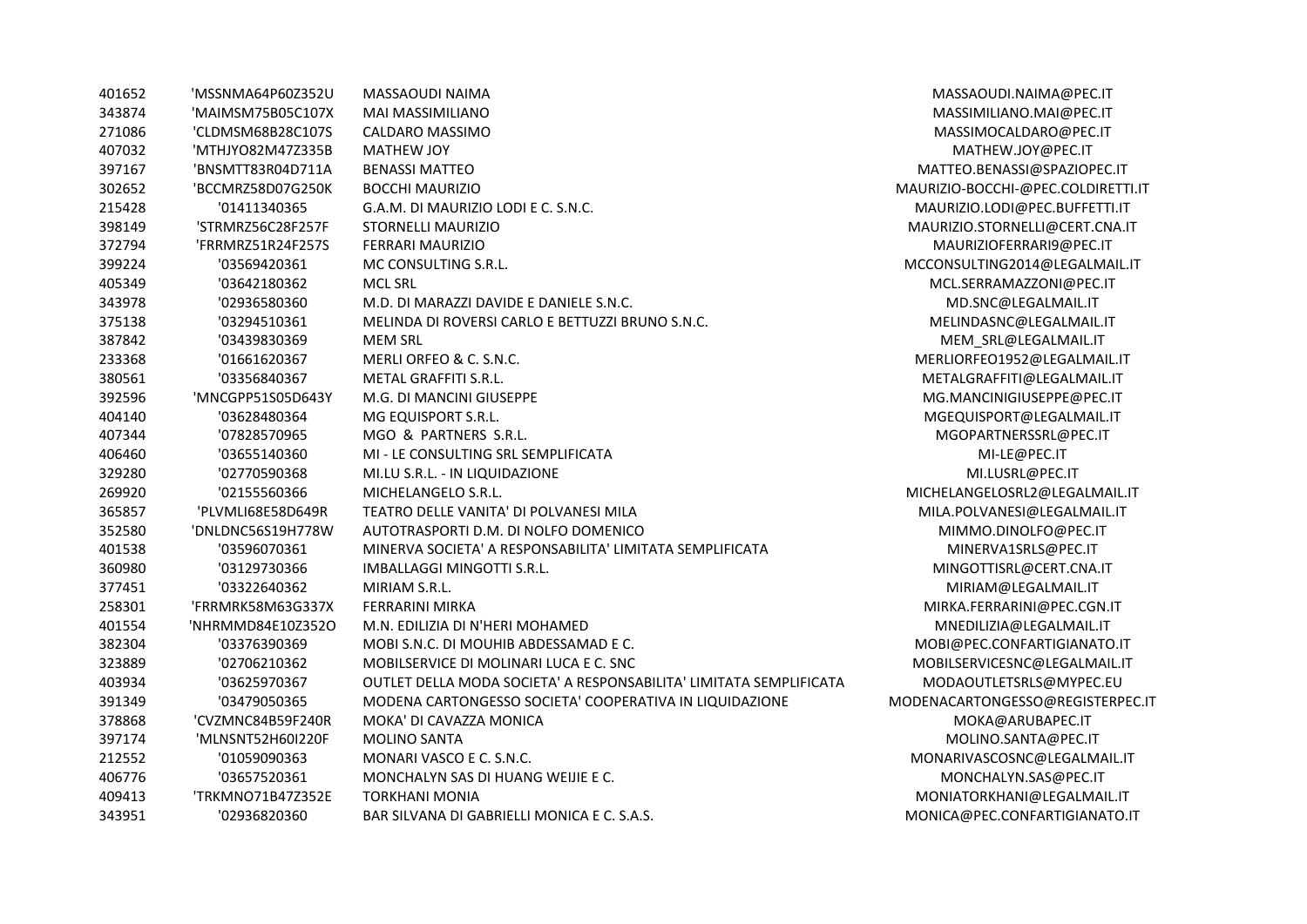| 401652 | 'MSSNMA64P60Z352U | MASSAOUDI NAIMA                                                    | MASSAOUDI.NAIMA@PEC.IT             |
|--------|-------------------|--------------------------------------------------------------------|------------------------------------|
| 343874 | 'MAIMSM75B05C107X | MAI MASSIMILIANO                                                   | MASSIMILIANO.MAI@PEC.IT            |
| 271086 | 'CLDMSM68B28C107S | CALDARO MASSIMO                                                    | MASSIMOCALDARO@PEC.IT              |
| 407032 | 'MTHJYO82M47Z335B | <b>MATHEW JOY</b>                                                  | MATHEW.JOY@PEC.IT                  |
| 397167 | 'BNSMTT83R04D711A | <b>BENASSI MATTEO</b>                                              | MATTEO.BENASSI@SPAZIOPEC.IT        |
| 302652 | 'BCCMRZ58D07G250K | <b>BOCCHI MAURIZIO</b>                                             | MAURIZIO-BOCCHI-@PEC.COLDIRETTI.IT |
| 215428 | '01411340365      | G.A.M. DI MAURIZIO LODI E C. S.N.C.                                | MAURIZIO.LODI@PEC.BUFFETTI.IT      |
| 398149 | 'STRMRZ56C28F257F | STORNELLI MAURIZIO                                                 | MAURIZIO.STORNELLI@CERT.CNA.IT     |
| 372794 | 'FRRMRZ51R24F257S | <b>FERRARI MAURIZIO</b>                                            | MAURIZIOFERRARI9@PEC.IT            |
| 399224 | '03569420361      | MC CONSULTING S.R.L.                                               | MCCONSULTING2014@LEGALMAIL.IT      |
| 405349 | '03642180362      | <b>MCL SRL</b>                                                     | MCL.SERRAMAZZONI@PEC.IT            |
| 343978 | '02936580360      | M.D. DI MARAZZI DAVIDE E DANIELE S.N.C.                            | MD.SNC@LEGALMAIL.IT                |
| 375138 | '03294510361      | MELINDA DI ROVERSI CARLO E BETTUZZI BRUNO S.N.C.                   | MELINDASNC@LEGALMAIL.IT            |
| 387842 | '03439830369      | <b>MEM SRL</b>                                                     | MEM_SRL@LEGALMAIL.IT               |
| 233368 | '01661620367      | MERLI ORFEO & C. S.N.C.                                            | MERLIORFEO1952@LEGALMAIL.IT        |
| 380561 | '03356840367      | METAL GRAFFITI S.R.L.                                              | METALGRAFFITI@LEGALMAIL.IT         |
| 392596 | 'MNCGPP51S05D643Y | M.G. DI MANCINI GIUSEPPE                                           | MG.MANCINIGIUSEPPE@PEC.IT          |
| 404140 | '03628480364      | MG EQUISPORT S.R.L.                                                | MGEQUISPORT@LEGALMAIL.IT           |
| 407344 | '07828570965      | MGO & PARTNERS S.R.L.                                              | MGOPARTNERSSRL@PEC.IT              |
| 406460 | '03655140360      | MI - LE CONSULTING SRL SEMPLIFICATA                                | MI-LE@PEC.IT                       |
| 329280 | '02770590368      | MI.LU S.R.L. - IN LIQUIDAZIONE                                     | MI.LUSRL@PEC.IT                    |
| 269920 | '02155560366      | MICHELANGELO S.R.L.                                                | MICHELANGELOSRL2@LEGALMAIL.IT      |
| 365857 | 'PLVMLI68E58D649R | TEATRO DELLE VANITA' DI POLVANESI MILA                             | MILA.POLVANESI@LEGALMAIL.IT        |
| 352580 | 'DNLDNC56S19H778W | AUTOTRASPORTI D.M. DI NOLFO DOMENICO                               | MIMMO.DINOLFO@PEC.IT               |
| 401538 | '03596070361      | MINERVA SOCIETA' A RESPONSABILITA' LIMITATA SEMPLIFICATA           | MINERVA1SRLS@PEC.IT                |
| 360980 | '03129730366      | IMBALLAGGI MINGOTTI S.R.L.                                         | MINGOTTISRL@CERT.CNA.IT            |
| 377451 | '03322640362      | MIRIAM S.R.L.                                                      | MIRIAM@LEGALMAIL.IT                |
| 258301 | 'FRRMRK58M63G337X | FERRARINI MIRKA                                                    | MIRKA.FERRARINI@PEC.CGN.IT         |
| 401554 | 'NHRMMD84E10Z352O | M.N. EDILIZIA DI N'HERI MOHAMED                                    | MNEDILIZIA@LEGALMAIL.IT            |
| 382304 | '03376390369      | MOBI S.N.C. DI MOUHIB ABDESSAMAD E C.                              | MOBI@PEC.CONFARTIGIANATO.IT        |
| 323889 | '02706210362      | MOBILSERVICE DI MOLINARI LUCA E C. SNC                             | MOBILSERVICESNC@LEGALMAIL.IT       |
| 403934 | '03625970367      | OUTLET DELLA MODA SOCIETA' A RESPONSABILITA' LIMITATA SEMPLIFICATA | MODAOUTLETSRLS@MYPEC.EU            |
| 391349 | '03479050365      | MODENA CARTONGESSO SOCIETA' COOPERATIVA IN LIQUIDAZIONE            | MODENACARTONGESSO@REGISTERPEC.IT   |
| 378868 | 'CVZMNC84B59F240R | MOKA' DI CAVAZZA MONICA                                            | MOKA@ARUBAPEC.IT                   |
| 397174 | 'MLNSNT52H60I220F | <b>MOLINO SANTA</b>                                                | MOLINO.SANTA@PEC.IT                |
| 212552 | '01059090363      | MONARI VASCO E C. S.N.C.                                           | MONARIVASCOSNC@LEGALMAIL.IT        |
| 406776 | '03657520361      | MONCHALYN SAS DI HUANG WEIJIE E C.                                 | MONCHALYN.SAS@PEC.IT               |
| 409413 | 'TRKMNO71B47Z352E | <b>TORKHANI MONIA</b>                                              | MONIATORKHANI@LEGALMAIL.IT         |
| 343951 | '02936820360      | BAR SILVANA DI GABRIELLI MONICA E C. S.A.S.                        | MONICA@PEC.CONFARTIGIANATO.IT      |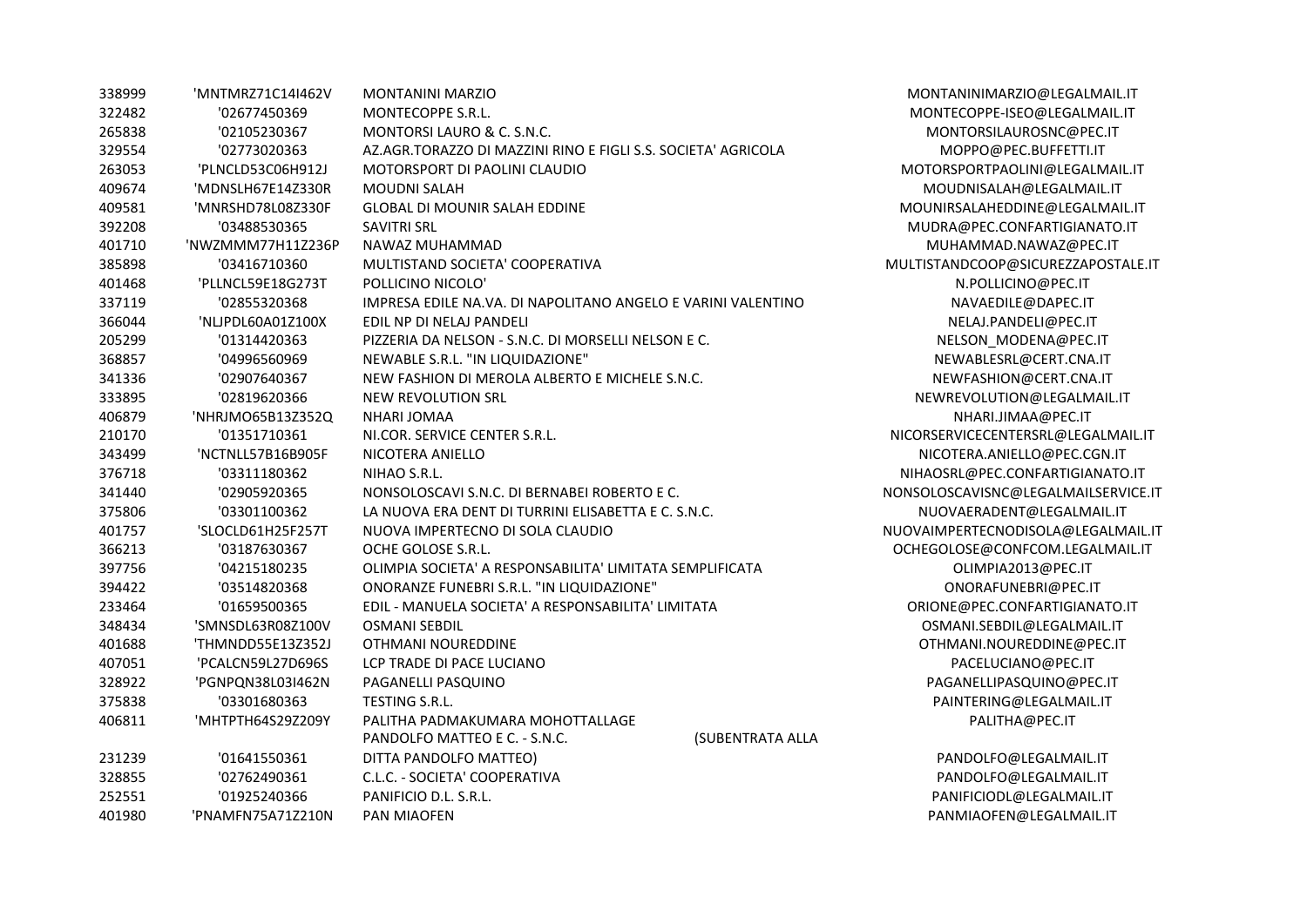| 338999 | 'MNTMRZ71C14I462V | <b>MONTANINI MARZIO</b>                                       |                  | MONTANINIMARZIO@LEGALMAIL.IT        |
|--------|-------------------|---------------------------------------------------------------|------------------|-------------------------------------|
| 322482 | '02677450369      | MONTECOPPE S.R.L.                                             |                  | MONTECOPPE-ISEO@LEGALMAIL.IT        |
| 265838 | '02105230367      | MONTORSI LAURO & C. S.N.C.                                    |                  | MONTORSILAUROSNC@PEC.IT             |
| 329554 | '02773020363      | AZ.AGR.TORAZZO DI MAZZINI RINO E FIGLI S.S. SOCIETA' AGRICOLA |                  | MOPPO@PEC.BUFFETTI.IT               |
| 263053 | 'PLNCLD53C06H912J | MOTORSPORT DI PAOLINI CLAUDIO                                 |                  | MOTORSPORTPAOLINI@LEGALMAIL.IT      |
| 409674 | 'MDNSLH67E14Z330R | <b>MOUDNI SALAH</b>                                           |                  | MOUDNISALAH@LEGALMAIL.IT            |
| 409581 | 'MNRSHD78L08Z330F | <b>GLOBAL DI MOUNIR SALAH EDDINE</b>                          |                  | MOUNIRSALAHEDDINE@LEGALMAIL.IT      |
| 392208 | '03488530365      | <b>SAVITRI SRL</b>                                            |                  | MUDRA@PEC.CONFARTIGIANATO.IT        |
| 401710 | 'NWZMMM77H11Z236P | NAWAZ MUHAMMAD                                                |                  | MUHAMMAD.NAWAZ@PEC.IT               |
| 385898 | '03416710360      | MULTISTAND SOCIETA' COOPERATIVA                               |                  | MULTISTANDCOOP@SICUREZZAPOSTALE.IT  |
| 401468 | 'PLLNCL59E18G273T | POLLICINO NICOLO'                                             |                  | N.POLLICINO@PEC.IT                  |
| 337119 | '02855320368      | IMPRESA EDILE NA.VA. DI NAPOLITANO ANGELO E VARINI VALENTINO  |                  | NAVAEDILE@DAPEC.IT                  |
| 366044 | 'NLJPDL60A01Z100X | EDIL NP DI NELAJ PANDELI                                      |                  | NELAJ.PANDELI@PEC.IT                |
| 205299 | '01314420363      | PIZZERIA DA NELSON - S.N.C. DI MORSELLI NELSON E C.           |                  | NELSON_MODENA@PEC.IT                |
| 368857 | '04996560969      | NEWABLE S.R.L. "IN LIQUIDAZIONE"                              |                  | NEWABLESRL@CERT.CNA.IT              |
| 341336 | '02907640367      | NEW FASHION DI MEROLA ALBERTO E MICHELE S.N.C.                |                  | NEWFASHION@CERT.CNA.IT              |
| 333895 | '02819620366      | NEW REVOLUTION SRL                                            |                  | NEWREVOLUTION@LEGALMAIL.IT          |
| 406879 | 'NHRJMO65B13Z352Q | NHARI JOMAA                                                   |                  | NHARI.JIMAA@PEC.IT                  |
| 210170 | '01351710361      | NI.COR. SERVICE CENTER S.R.L.                                 |                  | NICORSERVICECENTERSRL@LEGALMAIL.IT  |
| 343499 | 'NCTNLL57B16B905F | NICOTERA ANIELLO                                              |                  | NICOTERA.ANIELLO@PEC.CGN.IT         |
| 376718 | '03311180362      | NIHAO S.R.L.                                                  |                  | NIHAOSRL@PEC.CONFARTIGIANATO.IT     |
| 341440 | '02905920365      | NONSOLOSCAVI S.N.C. DI BERNABEI ROBERTO E C.                  |                  | NONSOLOSCAVISNC@LEGALMAILSERVICE.IT |
| 375806 | '03301100362      | LA NUOVA ERA DENT DI TURRINI ELISABETTA E C. S.N.C.           |                  | NUOVAERADENT@LEGALMAIL.IT           |
| 401757 | 'SLOCLD61H25F257T | NUOVA IMPERTECNO DI SOLA CLAUDIO                              |                  | NUOVAIMPERTECNODISOLA@LEGALMAIL.IT  |
| 366213 | '03187630367      | OCHE GOLOSE S.R.L.                                            |                  | OCHEGOLOSE@CONFCOM.LEGALMAIL.IT     |
| 397756 | '04215180235      | OLIMPIA SOCIETA' A RESPONSABILITA' LIMITATA SEMPLIFICATA      |                  | OLIMPIA2013@PEC.IT                  |
| 394422 | '03514820368      | ONORANZE FUNEBRI S.R.L. "IN LIQUIDAZIONE"                     |                  | ONORAFUNEBRI@PEC.IT                 |
| 233464 | '01659500365      | EDIL - MANUELA SOCIETA' A RESPONSABILITA' LIMITATA            |                  | ORIONE@PEC.CONFARTIGIANATO.IT       |
| 348434 | 'SMNSDL63R08Z100V | <b>OSMANI SEBDIL</b>                                          |                  | OSMANI.SEBDIL@LEGALMAIL.IT          |
| 401688 | 'THMNDD55E13Z352J | OTHMANI NOUREDDINE                                            |                  | OTHMANI.NOUREDDINE@PEC.IT           |
| 407051 | 'PCALCN59L27D696S | LCP TRADE DI PACE LUCIANO                                     |                  | PACELUCIANO@PEC.IT                  |
| 328922 | 'PGNPQN38L03I462N | PAGANELLI PASQUINO                                            |                  | PAGANELLIPASQUINO@PEC.IT            |
| 375838 | '03301680363      | <b>TESTING S.R.L.</b>                                         |                  | PAINTERING@LEGALMAIL.IT             |
| 406811 | 'MHTPTH64S29Z209Y | PALITHA PADMAKUMARA MOHOTTALLAGE                              |                  | PALITHA@PEC.IT                      |
|        |                   | PANDOLFO MATTEO E C. - S.N.C.                                 | (SUBENTRATA ALLA |                                     |
| 231239 | '01641550361      | DITTA PANDOLFO MATTEO)                                        |                  | PANDOLFO@LEGALMAIL.IT               |
| 328855 | '02762490361      | C.L.C. - SOCIETA' COOPERATIVA                                 |                  | PANDOLFO@LEGALMAIL.IT               |
| 252551 | '01925240366      | PANIFICIO D.L. S.R.L.                                         |                  | PANIFICIODL@LEGALMAIL.IT            |
| 401980 | 'PNAMFN75A71Z210N | <b>PAN MIAOFEN</b>                                            |                  | PANMIAOFEN@LEGALMAIL.IT             |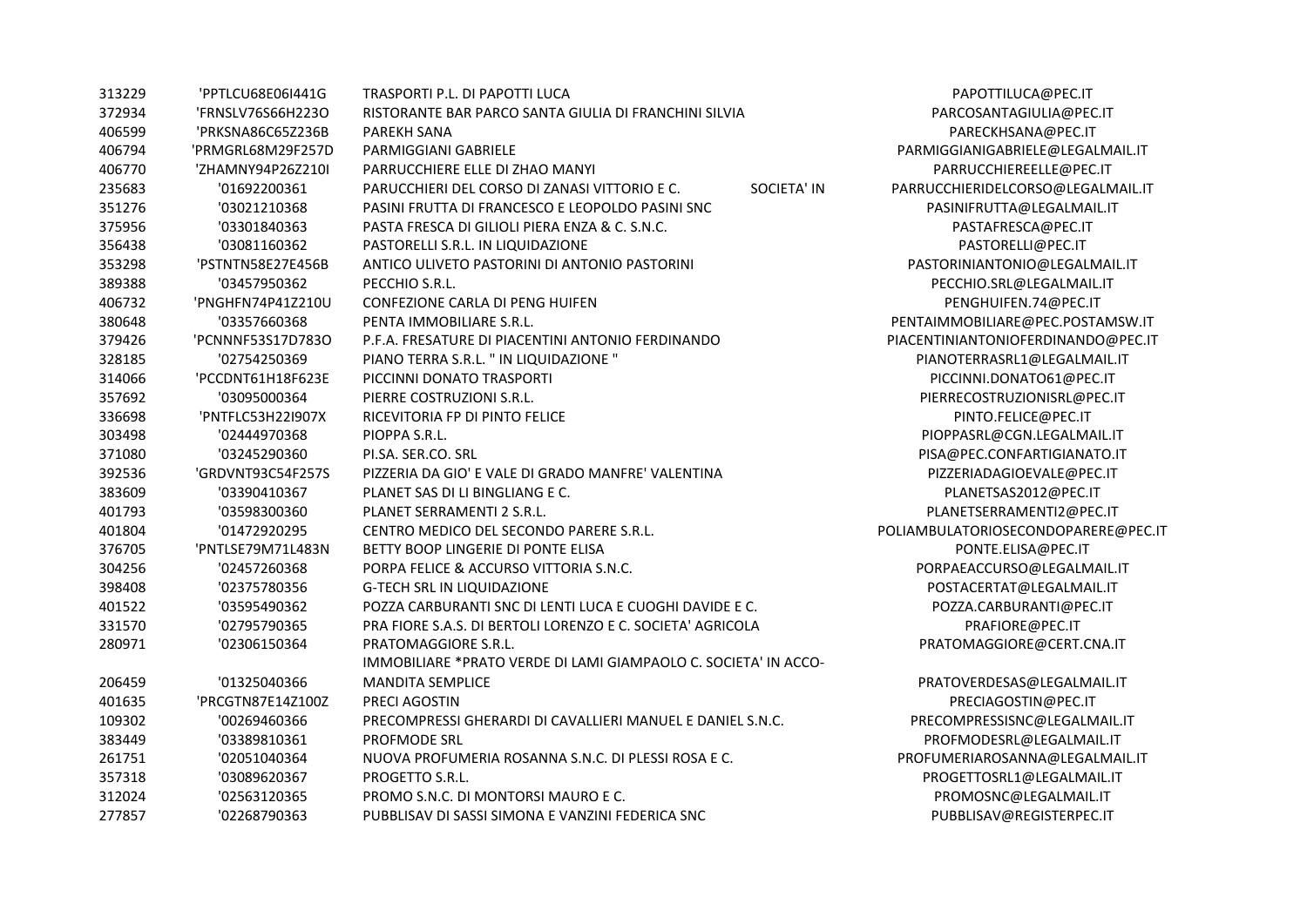| 313229 | 'PPTLCU68E06I441G | TRASPORTI P.L. DI PAPOTTI LUCA                                      | PAPOTTILUCA@PEC.IT                  |
|--------|-------------------|---------------------------------------------------------------------|-------------------------------------|
| 372934 | 'FRNSLV76S66H223O | RISTORANTE BAR PARCO SANTA GIULIA DI FRANCHINI SILVIA               | PARCOSANTAGIULIA@PEC.IT             |
| 406599 | 'PRKSNA86C65Z236B | PAREKH SANA                                                         | PARECKHSANA@PEC.IT                  |
| 406794 | 'PRMGRL68M29F257D | <b>PARMIGGIANI GABRIELE</b>                                         | PARMIGGIANIGABRIELE@LEGALMAIL.IT    |
| 406770 | 'ZHAMNY94P26Z210I | PARRUCCHIERE ELLE DI ZHAO MANYI                                     | PARRUCCHIEREELLE@PEC.IT             |
| 235683 | '01692200361      | PARUCCHIERI DEL CORSO DI ZANASI VITTORIO E C.<br><b>SOCIETA' IN</b> | PARRUCCHIERIDELCORSO@LEGALMAIL.IT   |
| 351276 | '03021210368      | PASINI FRUTTA DI FRANCESCO E LEOPOLDO PASINI SNC                    | PASINIFRUTTA@LEGALMAIL.IT           |
| 375956 | '03301840363      | PASTA FRESCA DI GILIOLI PIERA ENZA & C. S.N.C.                      | PASTAFRESCA@PEC.IT                  |
| 356438 | '03081160362      | PASTORELLI S.R.L. IN LIQUIDAZIONE                                   | PASTORELLI@PEC.IT                   |
| 353298 | 'PSTNTN58E27E456B | ANTICO ULIVETO PASTORINI DI ANTONIO PASTORINI                       | PASTORINIANTONIO@LEGALMAIL.IT       |
| 389388 | '03457950362      | PECCHIO S.R.L.                                                      | PECCHIO.SRL@LEGALMAIL.IT            |
| 406732 | 'PNGHFN74P41Z210U | <b>CONFEZIONE CARLA DI PENG HUIFEN</b>                              | PENGHUIFEN.74@PEC.IT                |
| 380648 | '03357660368      | PENTA IMMOBILIARE S.R.L.                                            | PENTAIMMOBILIARE@PEC.POSTAMSW.IT    |
| 379426 | 'PCNNNF53S17D783O | P.F.A. FRESATURE DI PIACENTINI ANTONIO FERDINANDO                   | PIACENTINIANTONIOFERDINANDO@PEC.IT  |
| 328185 | '02754250369      | PIANO TERRA S.R.L. " IN LIQUIDAZIONE "                              | PIANOTERRASRL1@LEGALMAIL.IT         |
| 314066 | 'PCCDNT61H18F623E | PICCINNI DONATO TRASPORTI                                           | PICCINNI.DONATO61@PEC.IT            |
| 357692 | '03095000364      | PIERRE COSTRUZIONI S.R.L.                                           | PIERRECOSTRUZIONISRL@PEC.IT         |
| 336698 | 'PNTFLC53H22I907X | RICEVITORIA FP DI PINTO FELICE                                      | PINTO.FELICE@PEC.IT                 |
| 303498 | '02444970368      | PIOPPA S.R.L.                                                       | PIOPPASRL@CGN.LEGALMAIL.IT          |
| 371080 | '03245290360      | PI.SA. SER.CO. SRL                                                  | PISA@PEC.CONFARTIGIANATO.IT         |
| 392536 | 'GRDVNT93C54F257S | PIZZERIA DA GIO' E VALE DI GRADO MANFRE' VALENTINA                  | PIZZERIADAGIOEVALE@PEC.IT           |
| 383609 | '03390410367      | PLANET SAS DI LI BINGLIANG E C.                                     | PLANETSAS2012@PEC.IT                |
| 401793 | '03598300360      | PLANET SERRAMENTI 2 S.R.L.                                          | PLANETSERRAMENTI2@PEC.IT            |
| 401804 | '01472920295      | CENTRO MEDICO DEL SECONDO PARERE S.R.L.                             | POLIAMBULATORIOSECONDOPARERE@PEC.IT |
| 376705 | 'PNTLSE79M71L483N | BETTY BOOP LINGERIE DI PONTE ELISA                                  | PONTE.ELISA@PEC.IT                  |
| 304256 | '02457260368      | PORPA FELICE & ACCURSO VITTORIA S.N.C.                              | PORPAEACCURSO@LEGALMAIL.IT          |
| 398408 | '02375780356      | <b>G-TECH SRL IN LIQUIDAZIONE</b>                                   | POSTACERTAT@LEGALMAIL.IT            |
| 401522 | '03595490362      | POZZA CARBURANTI SNC DI LENTI LUCA E CUOGHI DAVIDE E C.             | POZZA.CARBURANTI@PEC.IT             |
| 331570 | '02795790365      | PRA FIORE S.A.S. DI BERTOLI LORENZO E C. SOCIETA' AGRICOLA          | PRAFIORE@PEC.IT                     |
| 280971 | '02306150364      | PRATOMAGGIORE S.R.L.                                                | PRATOMAGGIORE@CERT.CNA.IT           |
|        |                   | IMMOBILIARE *PRATO VERDE DI LAMI GIAMPAOLO C. SOCIETA' IN ACCO-     |                                     |
| 206459 | '01325040366      | <b>MANDITA SEMPLICE</b>                                             | PRATOVERDESAS@LEGALMAIL.IT          |
| 401635 | 'PRCGTN87E14Z100Z | PRECI AGOSTIN                                                       | PRECIAGOSTIN@PEC.IT                 |
| 109302 | '00269460366      | PRECOMPRESSI GHERARDI DI CAVALLIERI MANUEL E DANIEL S.N.C.          | PRECOMPRESSISNC@LEGALMAIL.IT        |
| 383449 | '03389810361      | <b>PROFMODE SRL</b>                                                 | PROFMODESRL@LEGALMAIL.IT            |
| 261751 | '02051040364      | NUOVA PROFUMERIA ROSANNA S.N.C. DI PLESSI ROSA E C.                 | PROFUMERIAROSANNA@LEGALMAIL.IT      |
| 357318 | '03089620367      | PROGETTO S.R.L.                                                     | PROGETTOSRL1@LEGALMAIL.IT           |
| 312024 | '02563120365      | PROMO S.N.C. DI MONTORSI MAURO E C.                                 | PROMOSNC@LEGALMAIL.IT               |
| 277857 | '02268790363      | PUBBLISAV DI SASSI SIMONA E VANZINI FEDERICA SNC                    | PUBBLISAV@REGISTERPEC.IT            |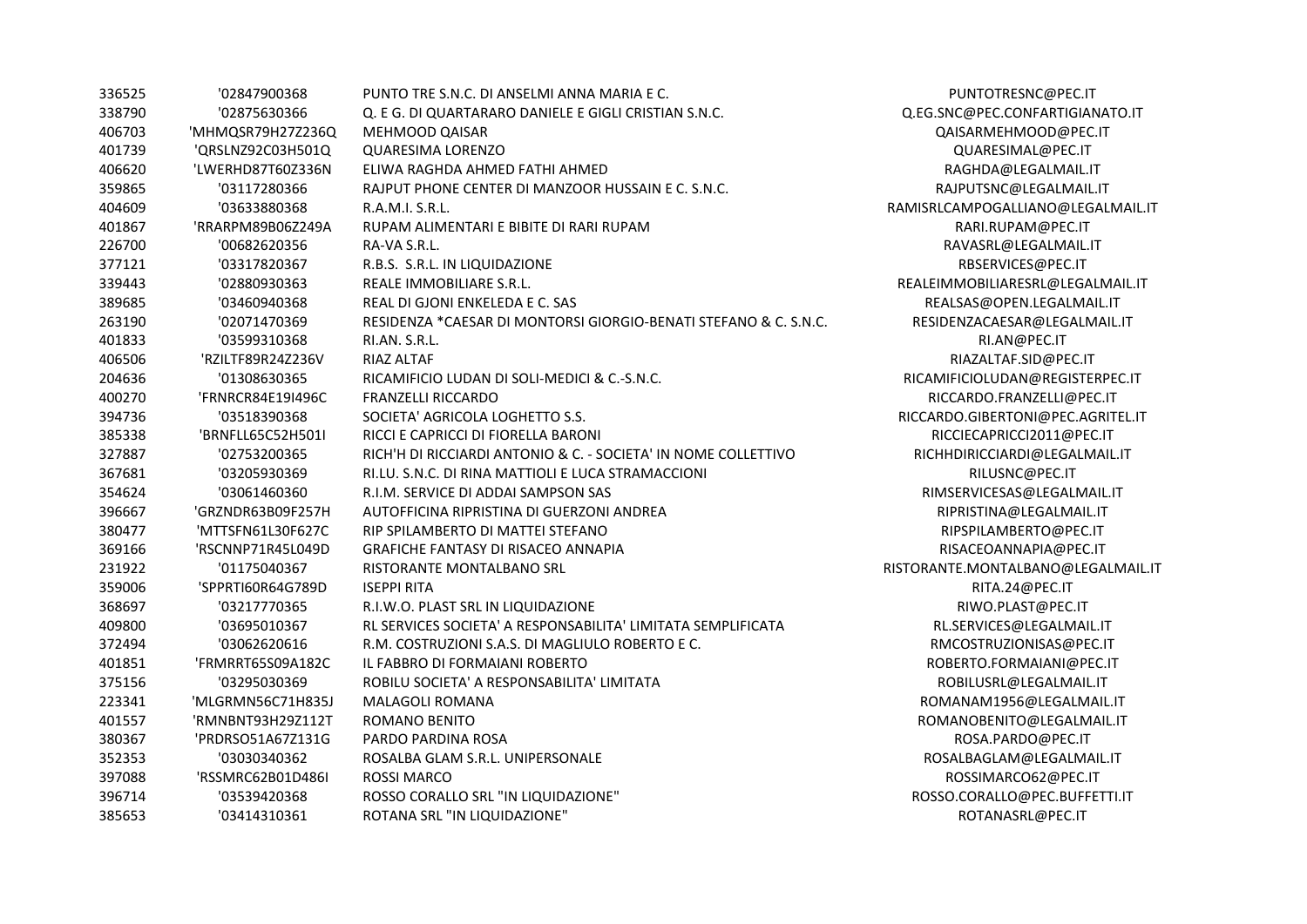| 336525 | '02847900368      | PUNTO TRE S.N.C. DI ANSELMI ANNA MARIA E C.                      | PUNTOTRESNC@PE         |
|--------|-------------------|------------------------------------------------------------------|------------------------|
| 338790 | '02875630366      | Q. E G. DI QUARTARARO DANIELE E GIGLI CRISTIAN S.N.C.            | Q.EG.SNC@PEC.CONFARTIG |
| 406703 | 'MHMQSR79H27Z236Q | <b>MEHMOOD QAISAR</b>                                            | QAISARMEHMOOD@F        |
| 401739 | 'QRSLNZ92C03H501Q | <b>QUARESIMA LORENZO</b>                                         | QUARESIMAL@PEC         |
| 406620 | 'LWERHD87T60Z336N | ELIWA RAGHDA AHMED FATHI AHMED                                   | RAGHDA@LEGALMA         |
| 359865 | '03117280366      | RAJPUT PHONE CENTER DI MANZOOR HUSSAIN E C. S.N.C.               | RAJPUTSNC@LEGALM       |
| 404609 | '03633880368      | R.A.M.I. S.R.L.                                                  | RAMISRLCAMPOGALLIANO@L |
| 401867 | 'RRARPM89B06Z249A | RUPAM ALIMENTARI E BIBITE DI RARI RUPAM                          | RARI.RUPAM@PEC         |
| 226700 | '00682620356      | RA-VA S.R.L.                                                     | RAVASRL@LEGALMA        |
| 377121 | '03317820367      | R.B.S. S.R.L. IN LIQUIDAZIONE                                    | RBSERVICES@PEC.        |
| 339443 | '02880930363      | REALE IMMOBILIARE S.R.L.                                         | REALEIMMOBILIARESRL@LE |
| 389685 | '03460940368      | REAL DI GJONI ENKELEDA E C. SAS                                  | REALSAS@OPEN.LEGALI    |
| 263190 | '02071470369      | RESIDENZA *CAESAR DI MONTORSI GIORGIO-BENATI STEFANO & C. S.N.C. | RESIDENZACAESAR@LEGA   |
| 401833 | '03599310368      | RI.AN. S.R.L.                                                    | RI.AN@PEC.IT           |
| 406506 | 'RZILTF89R24Z236V | RIAZ ALTAF                                                       | RIAZALTAF.SID@PEO      |
| 204636 | '01308630365      | RICAMIFICIO LUDAN DI SOLI-MEDICI & C.-S.N.C.                     | RICAMIFICIOLUDAN@REGIS |
| 400270 | 'FRNRCR84E19I496C | <b>FRANZELLI RICCARDO</b>                                        | RICCARDO.FRANZELLI@    |
| 394736 | '03518390368      | SOCIETA' AGRICOLA LOGHETTO S.S.                                  | RICCARDO.GIBERTONI@PEC |
| 385338 | 'BRNFLL65C52H501I | RICCI E CAPRICCI DI FIORELLA BARONI                              | RICCIECAPRICCI2011@    |
| 327887 | '02753200365      | RICH'H DI RICCIARDI ANTONIO & C. - SOCIETA' IN NOME COLLETTIVO   | RICHHDIRICCIARDI@LEGA  |
| 367681 | '03205930369      | RI.LU. S.N.C. DI RINA MATTIOLI E LUCA STRAMACCIONI               | RILUSNC@PEC.IT         |
| 354624 | '03061460360      | R.I.M. SERVICE DI ADDAI SAMPSON SAS                              | RIMSERVICESAS@LEGAL    |
| 396667 | 'GRZNDR63B09F257H | AUTOFFICINA RIPRISTINA DI GUERZONI ANDREA                        | RIPRISTINA@LEGALM.     |
| 380477 | 'MTTSFN61L30F627C | RIP SPILAMBERTO DI MATTEI STEFANO                                | RIPSPILAMBERTO@PI      |
| 369166 | 'RSCNNP71R45L049D | <b>GRAFICHE FANTASY DI RISACEO ANNAPIA</b>                       | RISACEOANNAPIA@P       |
| 231922 | '01175040367      | RISTORANTE MONTALBANO SRL                                        | RISTORANTE.MONTALBANO@ |
| 359006 | 'SPPRTI60R64G789D | <b>ISEPPI RITA</b>                                               | RITA.24@PEC.IT         |
| 368697 | '03217770365      | R.I.W.O. PLAST SRL IN LIQUIDAZIONE                               | RIWO.PLAST@PEC.        |
| 409800 | '03695010367      | RL SERVICES SOCIETA' A RESPONSABILITA' LIMITATA SEMPLIFICATA     | RL.SERVICES@LEGALM     |
| 372494 | '03062620616      | R.M. COSTRUZIONI S.A.S. DI MAGLIULO ROBERTO E C.                 | RMCOSTRUZIONISAS@      |
| 401851 | 'FRMRRT65S09A182C | IL FABBRO DI FORMAIANI ROBERTO                                   | ROBERTO.FORMAIANI@     |
| 375156 | '03295030369      | ROBILU SOCIETA' A RESPONSABILITA' LIMITATA                       | ROBILUSRL@LEGALM       |
| 223341 | 'MLGRMN56C71H835J | MALAGOLI ROMANA                                                  | ROMANAM1956@LEGAL      |
| 401557 | 'RMNBNT93H29Z112T | <b>ROMANO BENITO</b>                                             | ROMANOBENITO@LEGAI     |
| 380367 | 'PRDRSO51A67Z131G | PARDO PARDINA ROSA                                               | ROSA.PARDO@PEC         |
| 352353 | '03030340362      | ROSALBA GLAM S.R.L. UNIPERSONALE                                 | ROSALBAGLAM@LEGAL      |
| 397088 | 'RSSMRC62B01D486I | <b>ROSSI MARCO</b>                                               | ROSSIMARCO62@PE        |
| 396714 | '03539420368      | ROSSO CORALLO SRL "IN LIQUIDAZIONE"                              | ROSSO.CORALLO@PEC.BU   |
| 385653 | '03414310361      | ROTANA SRL "IN LIQUIDAZIONE"                                     | ROTANASRL@PEC.         |

PUNTOTRESNC@PEC.IT .EG.SNC@PEC.CONFARTIGIANATO.IT QAISARMEHMOOD@PEC.IT QUARESIMAL@PEC.IT  $RAGHDA@LEGALMAIL.$ IT RAJPUTSNC@LEGALMAIL.IT 1ISRLCAMPOGALLIANO@LEGALMAIL.IT  $RARI.RUPAM@PEC.IT$ RAVASRL@LEGALMAIL.IT RBSERVICES@PEC.IT ALEIMMOBILIARESRL@LEGALMAIL.IT  $REALSAS @ OPEN. LEGALMAIL.$ IT  $RESIDENZACAESAR @ LEGALMAIL.IT$ RIAZALTAF.SID@PEC.IT ICAMIFICIOLUDAN@REGISTERPEC.IT RICCARDO.FRANZELLI@PEC.IT  $\texttt{CCARDO.GIBERTONI@PEC.AGRITEL.IT}$ RICCIECAPRICCI2011@PEC.IT  $RICHHDIRICCIARDI@LEGALMAIL.IT$  $RIMSERVICESAS@LEGALMAIL.IT$  $RIPRISTINA@LEGALMAILT$ RIPSPILAMBERTO@PEC.IT RISACEOANNAPIA@PEC.IT 231922 '01175040367 RISTORANTE MONTALBANO SRL RISTORANTE.MONTALBANO@LEGALMAIL.IT RIWO.PLAST@PEC.IT  $RLSERVICES@LEGALMAIL.IT$ RMCOSTRUZIONISAS@PEC.IT ROBERTO.FORMAIANI@PEC.IT  $ROBILUSRL@LEGALMAIL.IT$  $ROMANAM1956@LEGALMAIL.$ IT ROMANOBENITO@LEGALMAIL.IT  $ROSA.PARDO@PEC.IT$  $ROSALBAGLAM@LEGALMAIL.$ IT ROSSIMARCO62@PEC.IT ROSSO.CORALLO@PEC.BUFFETTI.IT  $ROTANASRL@PEC.IT$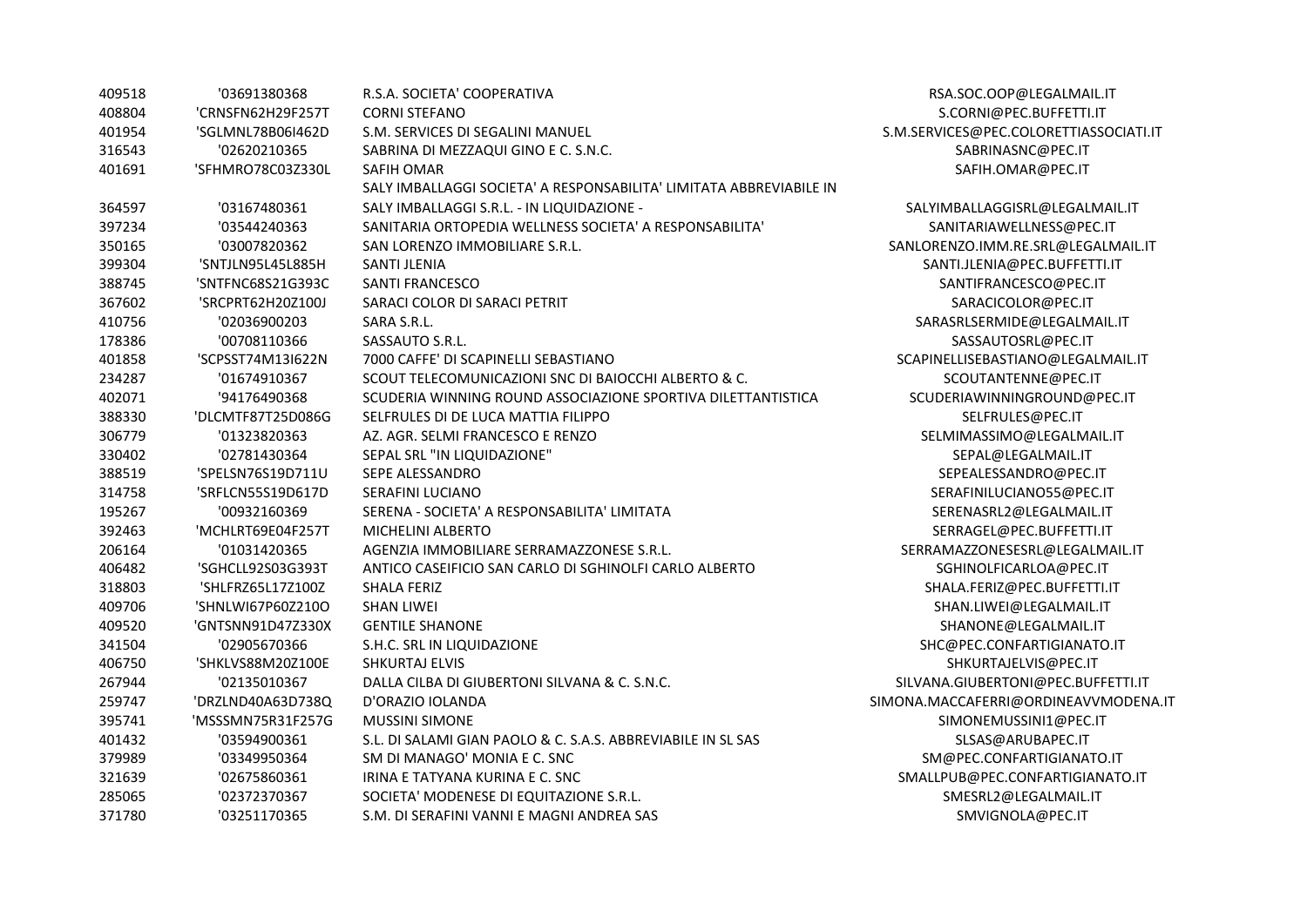| 409518 | '03691380368      | R.S.A. SOCIETA' COOPERATIVA                                         | RSA.SOC.OOP@LEGALMAIL.IT               |
|--------|-------------------|---------------------------------------------------------------------|----------------------------------------|
| 408804 | 'CRNSFN62H29F257T | <b>CORNI STEFANO</b>                                                | S.CORNI@PEC.BUFFETTI.IT                |
| 401954 | 'SGLMNL78B06I462D | S.M. SERVICES DI SEGALINI MANUEL                                    | S.M.SERVICES@PEC.COLORETTIASSOCIATI.IT |
| 316543 | '02620210365      | SABRINA DI MEZZAQUI GINO E C. S.N.C.                                | SABRINASNC@PEC.IT                      |
| 401691 | 'SFHMRO78C03Z330L | SAFIH OMAR                                                          | SAFIH.OMAR@PEC.IT                      |
|        |                   | SALY IMBALLAGGI SOCIETA' A RESPONSABILITA' LIMITATA ABBREVIABILE IN |                                        |
| 364597 | '03167480361      | SALY IMBALLAGGI S.R.L. - IN LIQUIDAZIONE -                          | SALYIMBALLAGGISRL@LEGALMAIL.IT         |
| 397234 | '03544240363      | SANITARIA ORTOPEDIA WELLNESS SOCIETA' A RESPONSABILITA'             | SANITARIAWELLNESS@PEC.IT               |
| 350165 | '03007820362      | SAN LORENZO IMMOBILIARE S.R.L.                                      | SANLORENZO.IMM.RE.SRL@LEGALMAIL.IT     |
| 399304 | 'SNTJLN95L45L885H | <b>SANTI JLENIA</b>                                                 | SANTI.JLENIA@PEC.BUFFETTI.IT           |
| 388745 | 'SNTFNC68S21G393C | <b>SANTI FRANCESCO</b>                                              | SANTIFRANCESCO@PEC.IT                  |
| 367602 | 'SRCPRT62H20Z100J | SARACI COLOR DI SARACI PETRIT                                       | SARACICOLOR@PEC.IT                     |
| 410756 | '02036900203      | SARA S.R.L.                                                         | SARASRLSERMIDE@LEGALMAIL.IT            |
| 178386 | '00708110366      | SASSAUTO S.R.L.                                                     | SASSAUTOSRL@PEC.IT                     |
| 401858 | 'SCPSST74M13I622N | 7000 CAFFE' DI SCAPINELLI SEBASTIANO                                | SCAPINELLISEBASTIANO@LEGALMAIL.IT      |
| 234287 | '01674910367      | SCOUT TELECOMUNICAZIONI SNC DI BAIOCCHI ALBERTO & C.                | SCOUTANTENNE@PEC.IT                    |
| 402071 | '94176490368      | SCUDERIA WINNING ROUND ASSOCIAZIONE SPORTIVA DILETTANTISTICA        | SCUDERIAWINNINGROUND@PEC.IT            |
| 388330 | 'DLCMTF87T25D086G | SELFRULES DI DE LUCA MATTIA FILIPPO                                 | SELFRULES@PEC.IT                       |
| 306779 | '01323820363      | AZ. AGR. SELMI FRANCESCO E RENZO                                    | SELMIMASSIMO@LEGALMAIL.IT              |
| 330402 | '02781430364      | SEPAL SRL "IN LIQUIDAZIONE"                                         | SEPAL@LEGALMAIL.IT                     |
| 388519 | 'SPELSN76S19D711U | SEPE ALESSANDRO                                                     | SEPEALESSANDRO@PEC.IT                  |
| 314758 | 'SRFLCN55S19D617D | SERAFINI LUCIANO                                                    | SERAFINILUCIANO55@PEC.IT               |
| 195267 | '00932160369      | SERENA - SOCIETA' A RESPONSABILITA' LIMITATA                        | SERENASRL2@LEGALMAIL.IT                |
| 392463 | 'MCHLRT69E04F257T | MICHELINI ALBERTO                                                   | SERRAGEL@PEC.BUFFETTI.IT               |
| 206164 | '01031420365      | AGENZIA IMMOBILIARE SERRAMAZZONESE S.R.L.                           | SERRAMAZZONESESRL@LEGALMAIL.IT         |
| 406482 | 'SGHCLL92S03G393T | ANTICO CASEIFICIO SAN CARLO DI SGHINOLFI CARLO ALBERTO              | SGHINOLFICARLOA@PEC.IT                 |
| 318803 | 'SHLFRZ65L17Z100Z | <b>SHALA FERIZ</b>                                                  | SHALA.FERIZ@PEC.BUFFETTI.IT            |
| 409706 | 'SHNLWI67P60Z210O | <b>SHAN LIWEI</b>                                                   | SHAN.LIWEI@LEGALMAIL.IT                |
| 409520 | 'GNTSNN91D47Z330X | <b>GENTILE SHANONE</b>                                              | SHANONE@LEGALMAIL.IT                   |
| 341504 | '02905670366      | S.H.C. SRL IN LIQUIDAZIONE                                          | SHC@PEC.CONFARTIGIANATO.IT             |
| 406750 | 'SHKLVS88M20Z100E | <b>SHKURTAJ ELVIS</b>                                               | SHKURTAJELVIS@PEC.IT                   |
| 267944 | '02135010367      | DALLA CILBA DI GIUBERTONI SILVANA & C. S.N.C.                       | SILVANA.GIUBERTONI@PEC.BUFFETTI.IT     |
| 259747 | 'DRZLND40A63D738Q | D'ORAZIO IOLANDA                                                    | SIMONA.MACCAFERRI@ORDINEAVVMODENA.IT   |
| 395741 | 'MSSSMN75R31F257G | <b>MUSSINI SIMONE</b>                                               | SIMONEMUSSINI1@PEC.IT                  |
| 401432 | '03594900361      | S.L. DI SALAMI GIAN PAOLO & C. S.A.S. ABBREVIABILE IN SL SAS        | SLSAS@ARUBAPEC.IT                      |
| 379989 | '03349950364      | SM DI MANAGO' MONIA E C. SNC                                        | SM@PEC.CONFARTIGIANATO.IT              |
| 321639 | '02675860361      | IRINA E TATYANA KURINA E C. SNC                                     | SMALLPUB@PEC.CONFARTIGIANATO.IT        |
| 285065 | '02372370367      | SOCIETA' MODENESE DI EQUITAZIONE S.R.L.                             | SMESRL2@LEGALMAIL.IT                   |
| 371780 | '03251170365      | S.M. DI SERAFINI VANNI E MAGNI ANDREA SAS                           | SMVIGNOLA@PEC.IT                       |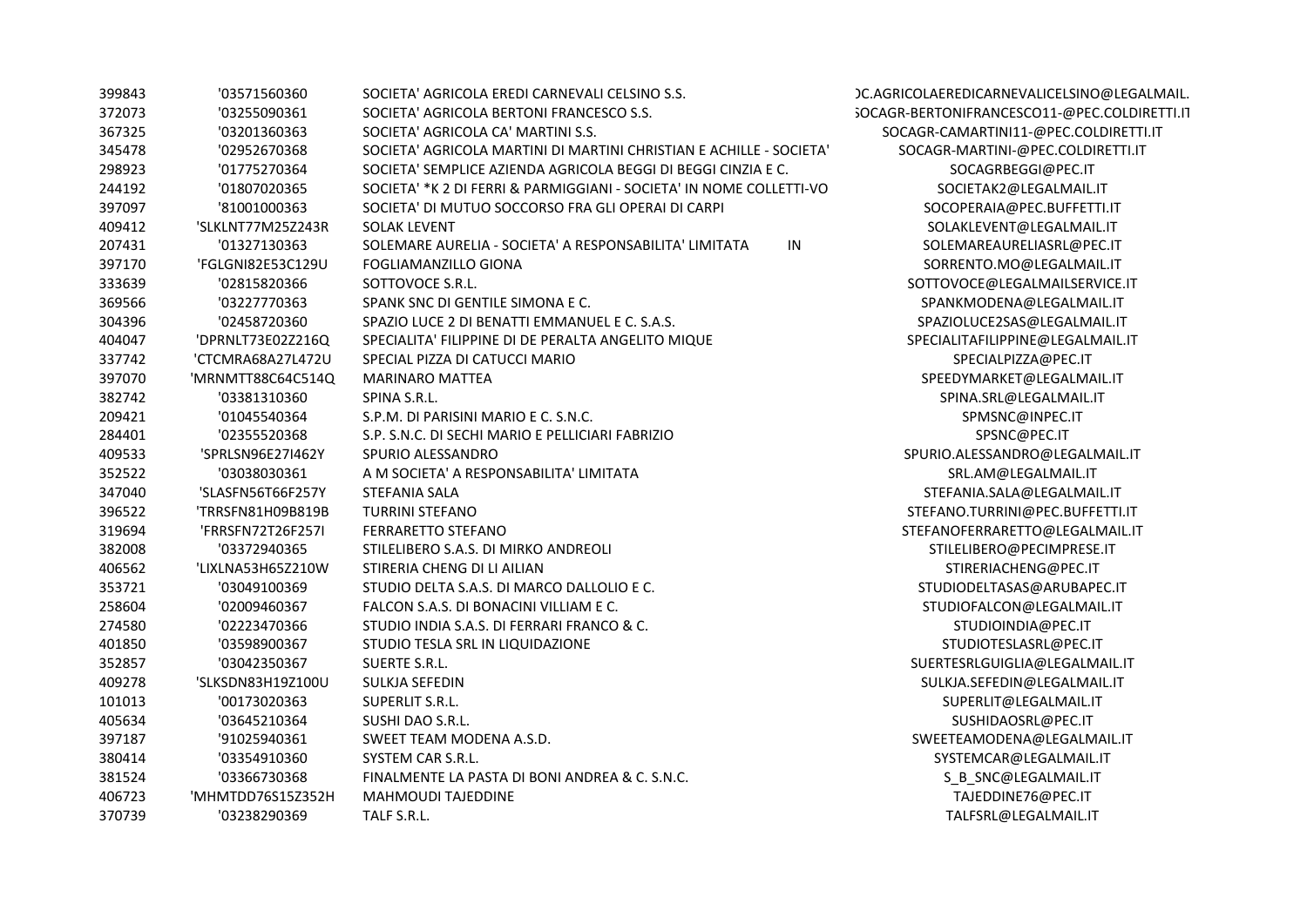| 399843 | '03571560360      | SOCIETA' AGRICOLA EREDI CARNEVALI CELSINO S.S.                      | )C.AGRICOLAEREDICARNEVALICELSINO@LEGALMAIL.  |
|--------|-------------------|---------------------------------------------------------------------|----------------------------------------------|
| 372073 | '03255090361      | SOCIETA' AGRICOLA BERTONI FRANCESCO S.S.                            | GOCAGR-BERTONIFRANCESCO11-@PEC.COLDIRETTI.IT |
| 367325 | '03201360363      | SOCIETA' AGRICOLA CA' MARTINI S.S.                                  | SOCAGR-CAMARTINI11-@PEC.COLDIRETTI.IT        |
| 345478 | '02952670368      | SOCIETA' AGRICOLA MARTINI DI MARTINI CHRISTIAN E ACHILLE - SOCIETA' | SOCAGR-MARTINI-@PEC.COLDIRETTI.IT            |
| 298923 | '01775270364      | SOCIETA' SEMPLICE AZIENDA AGRICOLA BEGGI DI BEGGI CINZIA E C.       | SOCAGRBEGGI@PEC.IT                           |
| 244192 | '01807020365      | SOCIETA' *K 2 DI FERRI & PARMIGGIANI - SOCIETA' IN NOME COLLETTI-VO | SOCIETAK2@LEGALMAIL.IT                       |
| 397097 | '81001000363      | SOCIETA' DI MUTUO SOCCORSO FRA GLI OPERAI DI CARPI                  | SOCOPERAIA@PEC.BUFFETTI.IT                   |
| 409412 | 'SLKLNT77M25Z243R | <b>SOLAK LEVENT</b>                                                 | SOLAKLEVENT@LEGALMAIL.IT                     |
| 207431 | '01327130363      | IN<br>SOLEMARE AURELIA - SOCIETA' A RESPONSABILITA' LIMITATA        | SOLEMAREAURELIASRL@PEC.IT                    |
| 397170 | 'FGLGNI82E53C129U | <b>FOGLIAMANZILLO GIONA</b>                                         | SORRENTO.MO@LEGALMAIL.IT                     |
| 333639 | '02815820366      | SOTTOVOCE S.R.L.                                                    | SOTTOVOCE@LEGALMAILSERVICE.IT                |
| 369566 | '03227770363      | SPANK SNC DI GENTILE SIMONA E C.                                    | SPANKMODENA@LEGALMAIL.IT                     |
| 304396 | '02458720360      | SPAZIO LUCE 2 DI BENATTI EMMANUEL E C. S.A.S.                       | SPAZIOLUCE2SAS@LEGALMAIL.IT                  |
| 404047 | 'DPRNLT73E02Z216Q | SPECIALITA' FILIPPINE DI DE PERALTA ANGELITO MIQUE                  | SPECIALITAFILIPPINE@LEGALMAIL.IT             |
| 337742 | 'CTCMRA68A27L472U | SPECIAL PIZZA DI CATUCCI MARIO                                      | SPECIALPIZZA@PEC.IT                          |
| 397070 | 'MRNMTT88C64C514Q | <b>MARINARO MATTEA</b>                                              | SPEEDYMARKET@LEGALMAIL.IT                    |
| 382742 | '03381310360      | SPINA S.R.L.                                                        | SPINA.SRL@LEGALMAIL.IT                       |
| 209421 | '01045540364      | S.P.M. DI PARISINI MARIO E C. S.N.C.                                | SPMSNC@INPEC.IT                              |
| 284401 | '02355520368      | S.P. S.N.C. DI SECHI MARIO E PELLICIARI FABRIZIO                    | SPSNC@PEC.IT                                 |
| 409533 | 'SPRLSN96E27I462Y | SPURIO ALESSANDRO                                                   | SPURIO.ALESSANDRO@LEGALMAIL.IT               |
| 352522 | '03038030361      | A M SOCIETA' A RESPONSABILITA' LIMITATA                             | SRL.AM@LEGALMAIL.IT                          |
| 347040 | 'SLASFN56T66F257Y | STEFANIA SALA                                                       | STEFANIA.SALA@LEGALMAIL.IT                   |
| 396522 | 'TRRSFN81H09B819B | <b>TURRINI STEFANO</b>                                              | STEFANO.TURRINI@PEC.BUFFETTI.IT              |
| 319694 | 'FRRSFN72T26F257I | <b>FERRARETTO STEFANO</b>                                           | STEFANOFERRARETTO@LEGALMAIL.IT               |
| 382008 | '03372940365      | STILELIBERO S.A.S. DI MIRKO ANDREOLI                                | STILELIBERO@PECIMPRESE.IT                    |
| 406562 | 'LIXLNA53H65Z210W | STIRERIA CHENG DI LI AILIAN                                         | STIRERIACHENG@PEC.IT                         |
| 353721 | '03049100369      | STUDIO DELTA S.A.S. DI MARCO DALLOLIO E C.                          | STUDIODELTASAS@ARUBAPEC.IT                   |
| 258604 | '02009460367      | FALCON S.A.S. DI BONACINI VILLIAM E C.                              | STUDIOFALCON@LEGALMAIL.IT                    |
| 274580 | '02223470366      | STUDIO INDIA S.A.S. DI FERRARI FRANCO & C.                          | STUDIOINDIA@PEC.IT                           |
| 401850 | '03598900367      | STUDIO TESLA SRL IN LIQUIDAZIONE                                    | STUDIOTESLASRL@PEC.IT                        |
| 352857 | '03042350367      | <b>SUERTE S.R.L.</b>                                                | SUERTESRLGUIGLIA@LEGALMAIL.IT                |
| 409278 | 'SLKSDN83H19Z100U | SULKJA SEFEDIN                                                      | SULKJA.SEFEDIN@LEGALMAIL.IT                  |
| 101013 | '00173020363      | SUPERLIT S.R.L.                                                     | SUPERLIT@LEGALMAIL.IT                        |
| 405634 | '03645210364      | SUSHI DAO S.R.L.                                                    | SUSHIDAOSRL@PEC.IT                           |
| 397187 | '91025940361      | SWEET TEAM MODENA A.S.D.                                            | SWEETEAMODENA@LEGALMAIL.IT                   |
| 380414 | '03354910360      | SYSTEM CAR S.R.L.                                                   | SYSTEMCAR@LEGALMAIL.IT                       |
| 381524 | '03366730368      | FINALMENTE LA PASTA DI BONI ANDREA & C. S.N.C.                      | S_B_SNC@LEGALMAIL.IT                         |
| 406723 | 'MHMTDD76S15Z352H | MAHMOUDI TAJEDDINE                                                  | TAJEDDINE76@PEC.IT                           |
| 370739 | '03238290369      | TALF S.R.L.                                                         | TALFSRL@LEGALMAIL.IT                         |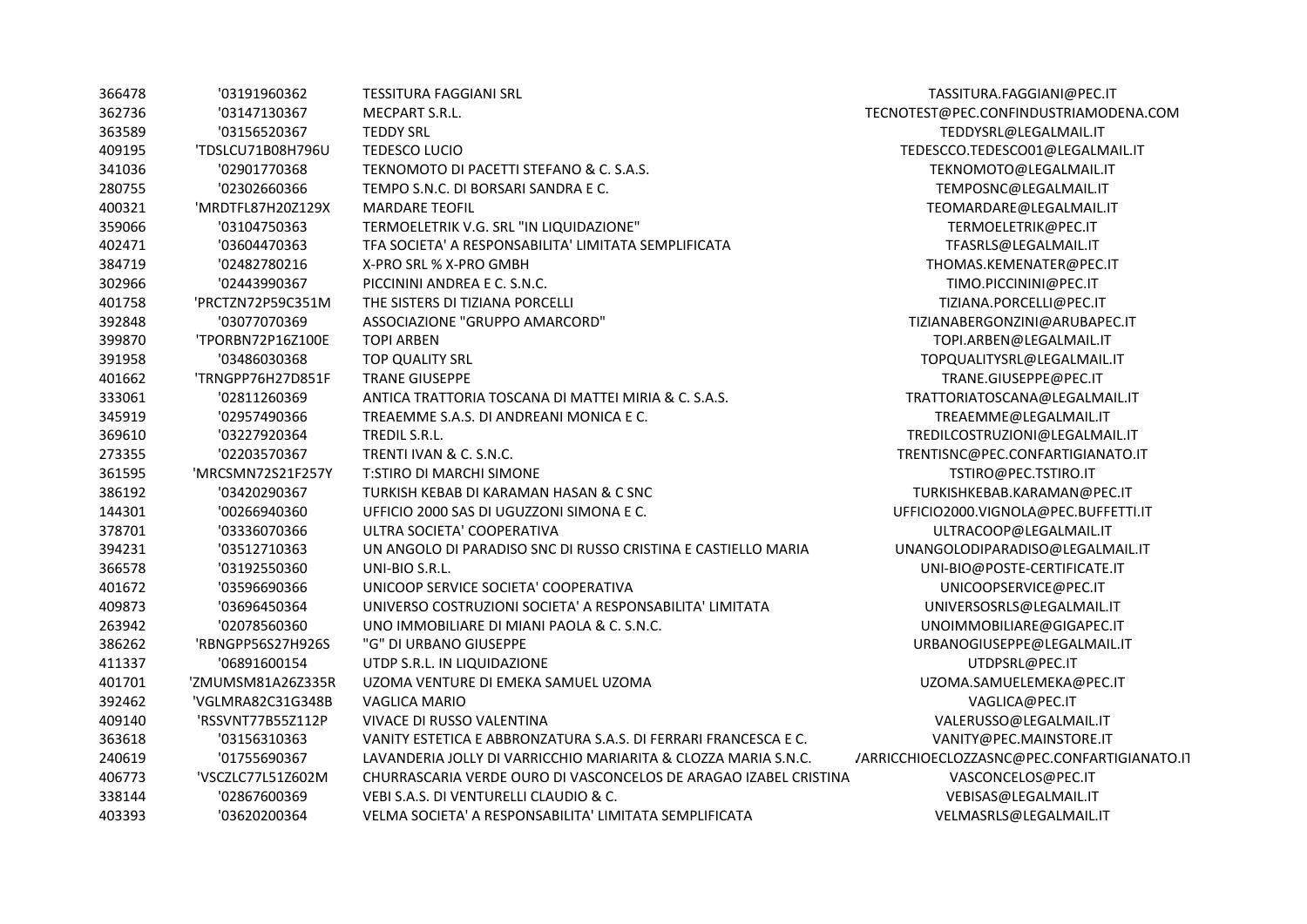| 366478 | '03191960362      | <b>TESSITURA FAGGIANI SRL</b>                                    | TASSITURA.FAGGIANI@PEC.IT                   |
|--------|-------------------|------------------------------------------------------------------|---------------------------------------------|
| 362736 | '03147130367      | MECPART S.R.L.                                                   | TECNOTEST@PEC.CONFINDUSTRIAMODENA.COM       |
| 363589 | '03156520367      | <b>TEDDY SRL</b>                                                 | TEDDYSRL@LEGALMAIL.IT                       |
| 409195 | 'TDSLCU71B08H796U | <b>TEDESCO LUCIO</b>                                             | TEDESCCO.TEDESCO01@LEGALMAIL.IT             |
| 341036 | '02901770368      | TEKNOMOTO DI PACETTI STEFANO & C. S.A.S.                         | TEKNOMOTO@LEGALMAIL.IT                      |
| 280755 | '02302660366      | TEMPO S.N.C. DI BORSARI SANDRA E C.                              | TEMPOSNC@LEGALMAIL.IT                       |
| 400321 | 'MRDTFL87H20Z129X | <b>MARDARE TEOFIL</b>                                            | TEOMARDARE@LEGALMAIL.IT                     |
| 359066 | '03104750363      | TERMOELETRIK V.G. SRL "IN LIQUIDAZIONE"                          | TERMOELETRIK@PEC.IT                         |
| 402471 | '03604470363      | TFA SOCIETA' A RESPONSABILITA' LIMITATA SEMPLIFICATA             | TFASRLS@LEGALMAIL.IT                        |
| 384719 | '02482780216      | X-PRO SRL % X-PRO GMBH                                           | THOMAS.KEMENATER@PEC.IT                     |
| 302966 | '02443990367      | PICCININI ANDREA E C. S.N.C.                                     | TIMO.PICCININI@PEC.IT                       |
| 401758 | 'PRCTZN72P59C351M | THE SISTERS DI TIZIANA PORCELLI                                  | TIZIANA.PORCELLI@PEC.IT                     |
| 392848 | '03077070369      | ASSOCIAZIONE "GRUPPO AMARCORD"                                   | TIZIANABERGONZINI@ARUBAPEC.IT               |
| 399870 | 'TPORBN72P16Z100E | <b>TOPI ARBEN</b>                                                | TOPI.ARBEN@LEGALMAIL.IT                     |
| 391958 | '03486030368      | <b>TOP QUALITY SRL</b>                                           | TOPQUALITYSRL@LEGALMAIL.IT                  |
| 401662 | 'TRNGPP76H27D851F | <b>TRANE GIUSEPPE</b>                                            | TRANE.GIUSEPPE@PEC.IT                       |
| 333061 | '02811260369      | ANTICA TRATTORIA TOSCANA DI MATTEI MIRIA & C. S.A.S.             | TRATTORIATOSCANA@LEGALMAIL.IT               |
| 345919 | '02957490366      | TREAEMME S.A.S. DI ANDREANI MONICA E C.                          | TREAEMME@LEGALMAIL.IT                       |
| 369610 | '03227920364      | TREDIL S.R.L.                                                    | TREDILCOSTRUZIONI@LEGALMAIL.IT              |
| 273355 | '02203570367      | TRENTI IVAN & C. S.N.C.                                          | TRENTISNC@PEC.CONFARTIGIANATO.IT            |
| 361595 | 'MRCSMN72S21F257Y | <b>T:STIRO DI MARCHI SIMONE</b>                                  | TSTIRO@PEC.TSTIRO.IT                        |
| 386192 | '03420290367      | TURKISH KEBAB DI KARAMAN HASAN & C SNC                           | TURKISHKEBAB.KARAMAN@PEC.IT                 |
| 144301 | '00266940360      | UFFICIO 2000 SAS DI UGUZZONI SIMONA E C.                         | UFFICIO2000.VIGNOLA@PEC.BUFFETTI.IT         |
| 378701 | '03336070366      | ULTRA SOCIETA' COOPERATIVA                                       | ULTRACOOP@LEGALMAIL.IT                      |
| 394231 | '03512710363      | UN ANGOLO DI PARADISO SNC DI RUSSO CRISTINA E CASTIELLO MARIA    | UNANGOLODIPARADISO@LEGALMAIL.IT             |
| 366578 | '03192550360      | UNI-BIO S.R.L.                                                   | UNI-BIO@POSTE-CERTIFICATE.IT                |
| 401672 | '03596690366      | UNICOOP SERVICE SOCIETA' COOPERATIVA                             | UNICOOPSERVICE@PEC.IT                       |
| 409873 | '03696450364      | UNIVERSO COSTRUZIONI SOCIETA' A RESPONSABILITA' LIMITATA         | UNIVERSOSRLS@LEGALMAIL.IT                   |
| 263942 | '02078560360      | UNO IMMOBILIARE DI MIANI PAOLA & C. S.N.C.                       | UNOIMMOBILIARE@GIGAPEC.IT                   |
| 386262 | 'RBNGPP56S27H926S | "G" DI URBANO GIUSEPPE                                           | URBANOGIUSEPPE@LEGALMAIL.IT                 |
| 411337 | '06891600154      | UTDP S.R.L. IN LIQUIDAZIONE                                      | UTDPSRL@PEC.IT                              |
| 401701 | 'ZMUMSM81A26Z335R | UZOMA VENTURE DI EMEKA SAMUEL UZOMA                              | UZOMA.SAMUELEMEKA@PEC.IT                    |
| 392462 | 'VGLMRA82C31G348B | <b>VAGLICA MARIO</b>                                             | VAGLICA@PEC.IT                              |
| 409140 | 'RSSVNT77B55Z112P | VIVACE DI RUSSO VALENTINA                                        | VALERUSSO@LEGALMAIL.IT                      |
| 363618 | '03156310363      | VANITY ESTETICA E ABBRONZATURA S.A.S. DI FERRARI FRANCESCA E C.  | VANITY@PEC.MAINSTORE.IT                     |
| 240619 | '01755690367      | LAVANDERIA JOLLY DI VARRICCHIO MARIARITA & CLOZZA MARIA S.N.C.   | /ARRICCHIOECLOZZASNC@PEC.CONFARTIGIANATO.IT |
| 406773 | 'VSCZLC77L51Z602M | CHURRASCARIA VERDE OURO DI VASCONCELOS DE ARAGAO IZABEL CRISTINA | VASCONCELOS@PEC.IT                          |
| 338144 | '02867600369      | VEBI S.A.S. DI VENTURELLI CLAUDIO & C.                           | VEBISAS@LEGALMAIL.IT                        |
| 403393 | '03620200364      | VELMA SOCIETA' A RESPONSABILITA' LIMITATA SEMPLIFICATA           | VELMASRLS@LEGALMAIL.IT                      |